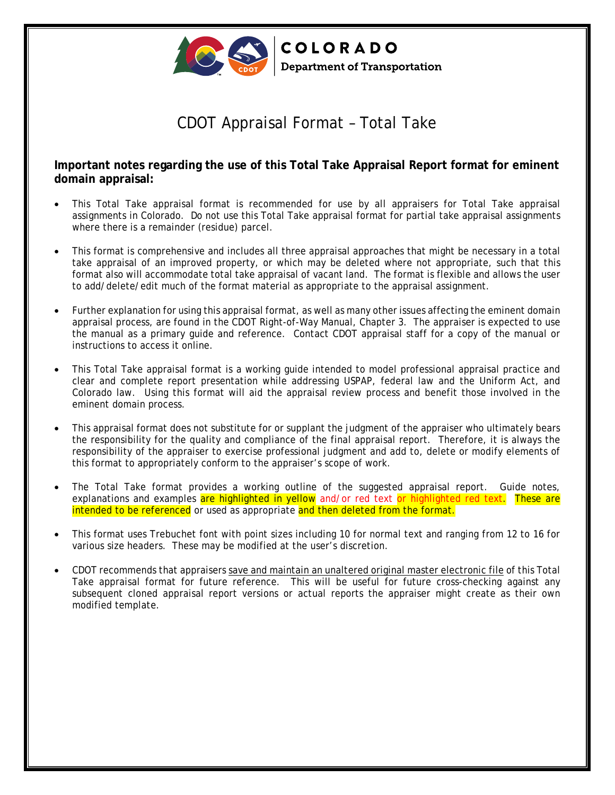

COLORADO **Department of Transportation** 

# CDOT Appraisal Format – Total Take

## **Important notes regarding the use of this Total Take Appraisal Report format for eminent domain appraisal:**

- This Total Take appraisal format is recommended for use by all appraisers for Total Take appraisal assignments in Colorado. Do not use this Total Take appraisal format for partial take appraisal assignments where there is a remainder (residue) parcel.
- This format is comprehensive and includes all three appraisal approaches that might be necessary in a total take appraisal of an improved property, or which may be deleted where not appropriate, such that this format also will accommodate total take appraisal of vacant land. The format is flexible and allows the user to add/delete/edit much of the format material as appropriate to the appraisal assignment.
- Further explanation for using this appraisal format, as well as many other issues affecting the eminent domain appraisal process, are found in the CDOT Right-of-Way Manual, Chapter 3. The appraiser is expected to use the manual as a primary guide and reference. Contact CDOT appraisal staff for a copy of the manual or instructions to access it online.
- This Total Take appraisal format is a working guide intended to model professional appraisal practice and clear and complete report presentation while addressing USPAP, federal law and the Uniform Act, and Colorado law. Using this format will aid the appraisal review process and benefit those involved in the eminent domain process.
- This appraisal format does not substitute for or supplant the judgment of the appraiser who ultimately bears the responsibility for the quality and compliance of the final appraisal report. Therefore, it is always the responsibility of the appraiser to exercise professional judgment and add to, delete or modify elements of this format to appropriately conform to the appraiser's scope of work.
- The Total Take format provides a working outline of the suggested appraisal report. Guide notes, explanations and examples are highlighted in yellow and/or red text or highlighted red text. These are intended to be referenced or used as appropriate and then deleted from the format.
- This format uses Trebuchet font with point sizes including 10 for normal text and ranging from 12 to 16 for various size headers. These may be modified at the user's discretion.
- CDOT recommends that appraisers save and maintain an unaltered original master electronic file of this Total Take appraisal format for future reference. This will be useful for future cross-checking against any subsequent cloned appraisal report versions or actual reports the appraiser might create as their own modified template.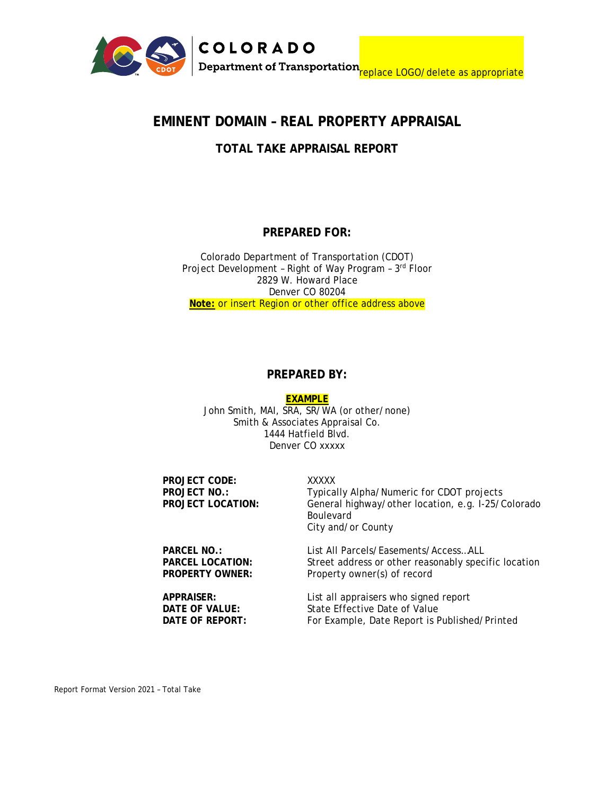

## **EMINENT DOMAIN – REAL PROPERTY APPRAISAL**

## **TOTAL TAKE APPRAISAL REPORT**

## **PREPARED FOR:**

Colorado Department of Transportation (CDOT) Project Development – Right of Way Program – 3rd Floor 2829 W. Howard Place Denver CO 80204 **Note:** or insert Region or other office address above

## **PREPARED BY:**

**EXAMPLE**

John Smith, MAI, SRA, SR/WA (or other/none) Smith & Associates Appraisal Co. 1444 Hatfield Blvd. Denver CO xxxxx

| PROJECT CODE:<br>PROJECT NO.:<br><b>PROJECT LOCATION:</b> | XXXXX<br>Typically Alpha/Numeric for CDOT projects<br>General highway/other location, e.g. I-25/Colorado<br><b>Boulevard</b><br>City and/or County |
|-----------------------------------------------------------|----------------------------------------------------------------------------------------------------------------------------------------------------|
| PARCEL NO.:                                               | List All Parcels/Easements/AccessALL                                                                                                               |
| <b>PARCEL LOCATION:</b>                                   | Street address or other reasonably specific location                                                                                               |
| <b>PROPERTY OWNER:</b>                                    | Property owner(s) of record                                                                                                                        |
| APPRAISER:                                                | List all appraisers who signed report                                                                                                              |
| DATE OF VALUE:                                            | State Effective Date of Value                                                                                                                      |
| DATE OF REPORT:                                           | For Example, Date Report is Published/Printed                                                                                                      |

Report Format Version 2021 – Total Take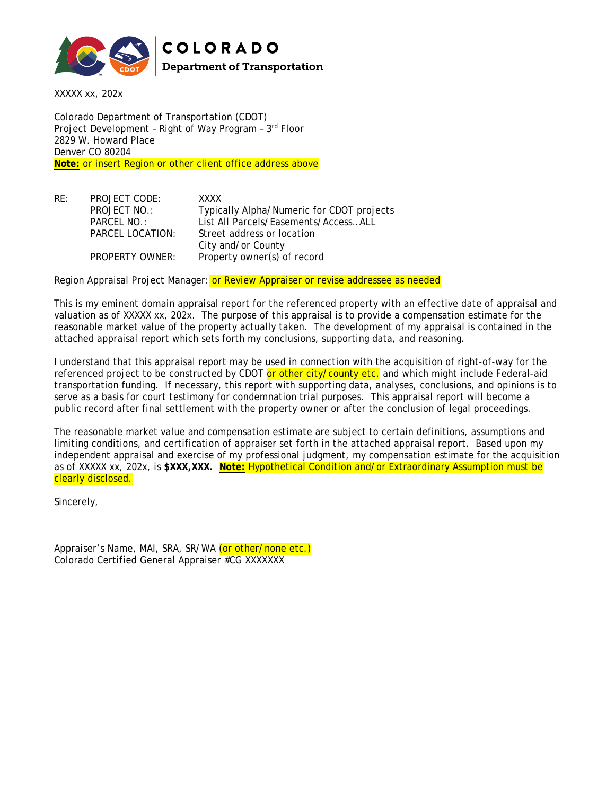

COLORADO **Department of Transportation** 

XXXXX xx, 202x

Colorado Department of Transportation (CDOT) Project Development – Right of Way Program – 3rd Floor 2829 W. Howard Place Denver CO 80204 **Note:** or insert Region or other client office address above

RE: PROJECT CODE: XXXX PROJECT NO.: Typically Alpha/Numeric for CDOT projects PARCEL NO.: List All Parcels/Easements/Access…ALL PARCEL LOCATION: Street address or location City and/or County PROPERTY OWNER: Property owner(s) of record

Region Appraisal Project Manager: or Review Appraiser or revise addressee as needed

This is my eminent domain appraisal report for the referenced property with an effective date of appraisal and valuation as of XXXXX xx, 202x. The purpose of this appraisal is to provide a compensation estimate for the reasonable market value of the property actually taken. The development of my appraisal is contained in the attached appraisal report which sets forth my conclusions, supporting data, and reasoning.

I understand that this appraisal report may be used in connection with the acquisition of right-of-way for the referenced project to be constructed by CDOT or other city/county etc. and which might include Federal-aid transportation funding. If necessary, this report with supporting data, analyses, conclusions, and opinions is to serve as a basis for court testimony for condemnation trial purposes. This appraisal report will become a public record after final settlement with the property owner or after the conclusion of legal proceedings.

The reasonable market value and compensation estimate are subject to certain definitions, assumptions and limiting conditions, and certification of appraiser set forth in the attached appraisal report. Based upon my independent appraisal and exercise of my professional judgment, my compensation estimate for the acquisition as of XXXXX xx, 202x, is **\$XXX,XXX. Note:** Hypothetical Condition and/or Extraordinary Assumption must be clearly disclosed.

Sincerely,

Appraiser's Name, MAI, SRA, SR/WA (or other/none etc.) Colorado Certified General Appraiser #CG XXXXXXX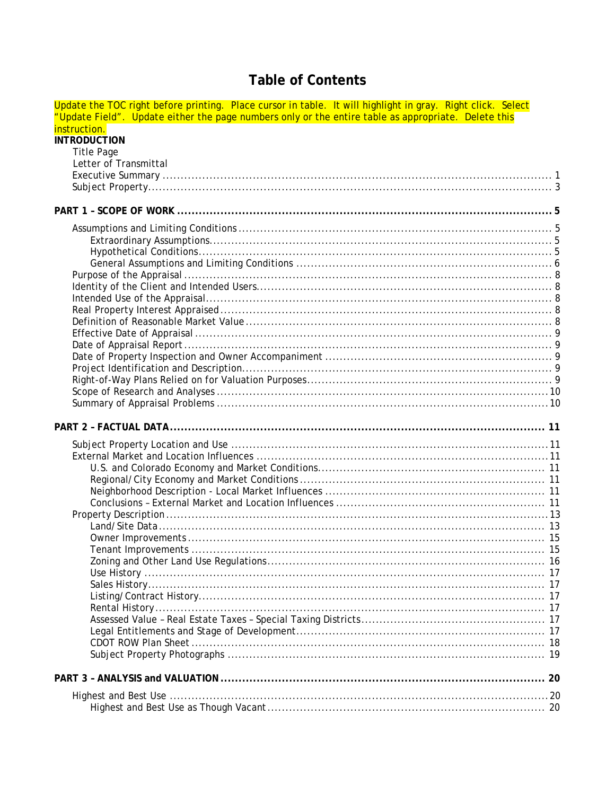# **Table of Contents**

| Update the TOC right before printing. Place cursor in table. It will highlight in gray. Right click. Select |  |
|-------------------------------------------------------------------------------------------------------------|--|
| "Update Field". Update either the page numbers only or the entire table as appropriate. Delete this         |  |
| instruction.<br><b>INTRODUCTION</b>                                                                         |  |
| <b>Title Page</b>                                                                                           |  |
| Letter of Transmittal                                                                                       |  |
|                                                                                                             |  |
|                                                                                                             |  |
|                                                                                                             |  |
|                                                                                                             |  |
|                                                                                                             |  |
|                                                                                                             |  |
|                                                                                                             |  |
|                                                                                                             |  |
|                                                                                                             |  |
|                                                                                                             |  |
|                                                                                                             |  |
|                                                                                                             |  |
|                                                                                                             |  |
|                                                                                                             |  |
|                                                                                                             |  |
|                                                                                                             |  |
|                                                                                                             |  |
|                                                                                                             |  |
|                                                                                                             |  |
|                                                                                                             |  |
|                                                                                                             |  |
|                                                                                                             |  |
|                                                                                                             |  |
|                                                                                                             |  |
|                                                                                                             |  |
|                                                                                                             |  |
|                                                                                                             |  |
|                                                                                                             |  |
|                                                                                                             |  |
|                                                                                                             |  |
|                                                                                                             |  |
|                                                                                                             |  |
|                                                                                                             |  |
|                                                                                                             |  |
|                                                                                                             |  |
|                                                                                                             |  |
|                                                                                                             |  |
|                                                                                                             |  |
|                                                                                                             |  |
|                                                                                                             |  |
|                                                                                                             |  |
|                                                                                                             |  |
|                                                                                                             |  |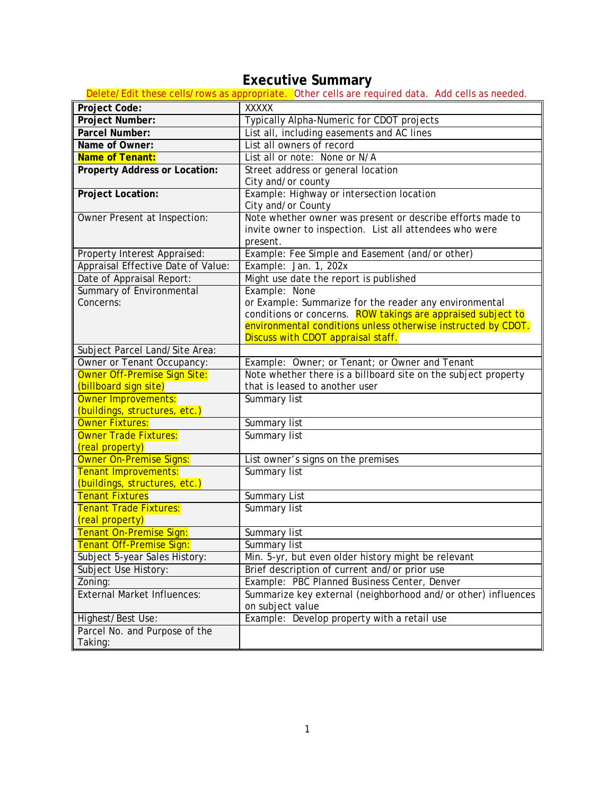# **Executive Summary**

<span id="page-5-0"></span>

|                                                       | Delete/Edit these cells/rows as appropriate. Other cells are required data. Add cells as needed. |
|-------------------------------------------------------|--------------------------------------------------------------------------------------------------|
| Project Code:                                         | <b>XXXXX</b>                                                                                     |
| Project Number:                                       | Typically Alpha-Numeric for CDOT projects                                                        |
| Parcel Number:                                        | List all, including easements and AC lines                                                       |
| Name of Owner:                                        | List all owners of record                                                                        |
| Name of Tenant:                                       | List all or note: None or N/A                                                                    |
| <b>Property Address or Location:</b>                  | Street address or general location                                                               |
|                                                       | City and/or county                                                                               |
| <b>Project Location:</b>                              | Example: Highway or intersection location                                                        |
|                                                       | City and/or County                                                                               |
| Owner Present at Inspection:                          | Note whether owner was present or describe efforts made to                                       |
|                                                       | invite owner to inspection. List all attendees who were                                          |
|                                                       | present.                                                                                         |
| Property Interest Appraised:                          | Example: Fee Simple and Easement (and/or other)                                                  |
| Appraisal Effective Date of Value:                    | Example: Jan. 1, 202x                                                                            |
| Date of Appraisal Report:                             | Might use date the report is published                                                           |
| Summary of Environmental                              | Example: None                                                                                    |
| Concerns:                                             | or Example: Summarize for the reader any environmental                                           |
|                                                       | conditions or concerns. ROW takings are appraised subject to                                     |
|                                                       | environmental conditions unless otherwise instructed by CDOT.                                    |
|                                                       | Discuss with CDOT appraisal staff.                                                               |
| Subject Parcel Land/Site Area:                        |                                                                                                  |
| Owner or Tenant Occupancy:                            | Example: Owner; or Tenant; or Owner and Tenant                                                   |
| Owner Off-Premise Sign Site:                          | Note whether there is a billboard site on the subject property                                   |
| (billboard sign site)                                 | that is leased to another user                                                                   |
| Owner Improvements:                                   | Summary list                                                                                     |
| (buildings, structures, etc.)                         |                                                                                                  |
| <b>Owner Fixtures:</b>                                | Summary list                                                                                     |
| Owner Trade Fixtures:                                 | Summary list                                                                                     |
| (real property)                                       |                                                                                                  |
| Owner On-Premise Signs:                               | List owner's signs on the premises<br><b>Summary list</b>                                        |
| Tenant Improvements:<br>(buildings, structures, etc.) |                                                                                                  |
| <b>Tenant Fixtures</b>                                |                                                                                                  |
| <b>Tenant Trade Fixtures:</b>                         | <b>Summary List</b><br><b>Summary list</b>                                                       |
| (real property)                                       |                                                                                                  |
| Tenant On-Premise Sign:                               | Summary list                                                                                     |
| Tenant Off-Premise Sign:                              | Summary list                                                                                     |
| Subject 5-year Sales History:                         | Min. 5-yr, but even older history might be relevant                                              |
| Subject Use History:                                  | Brief description of current and/or prior use                                                    |
| Zoning:                                               | Example: PBC Planned Business Center, Denver                                                     |
| <b>External Market Influences:</b>                    | Summarize key external (neighborhood and/or other) influences                                    |
|                                                       | on subject value                                                                                 |
| Highest/Best Use:                                     | Example: Develop property with a retail use                                                      |
| Parcel No. and Purpose of the                         |                                                                                                  |
| Taking:                                               |                                                                                                  |
|                                                       |                                                                                                  |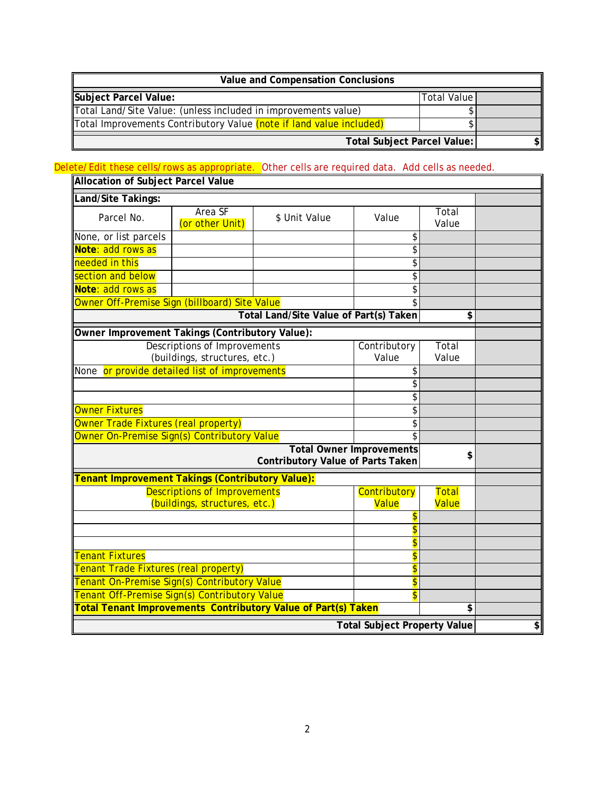| <b>Value and Compensation Conclusions</b>                           |               |  |
|---------------------------------------------------------------------|---------------|--|
| Subject Parcel Value:                                               | Total Value l |  |
| Total Land/Site Value: (unless included in improvements value)      |               |  |
| Total Improvements Contributory Value (note if land value included) |               |  |
| Total Subject Parcel Value:                                         |               |  |

## Delete/Edit these cells/rows as appropriate. Other cells are required data. Add cells as needed.

| <b>Allocation of Subject Parcel Value</b>                                         |                                     |                                                               |                                     |                |                                      |
|-----------------------------------------------------------------------------------|-------------------------------------|---------------------------------------------------------------|-------------------------------------|----------------|--------------------------------------|
| Land/Site Takings:                                                                |                                     |                                                               |                                     |                |                                      |
| Parcel No.                                                                        | Area SF<br>(or other Unit)          | \$ Unit Value                                                 | Value                               | Total<br>Value |                                      |
| None, or list parcels                                                             |                                     |                                                               | \$                                  |                |                                      |
| Note: add rows as                                                                 |                                     |                                                               | \$                                  |                |                                      |
| needed in this                                                                    |                                     |                                                               | \$                                  |                |                                      |
| section and below                                                                 |                                     |                                                               | \$                                  |                |                                      |
| Note: add rows as                                                                 |                                     |                                                               | \$                                  |                |                                      |
| Owner Off-Premise Sign (billboard) Site Value                                     |                                     |                                                               | \$                                  |                |                                      |
|                                                                                   |                                     | Total Land/Site Value of Part(s) Taken                        |                                     | \$             |                                      |
| Owner Improvement Takings (Contributory Value):                                   |                                     |                                                               |                                     |                |                                      |
|                                                                                   | <b>Descriptions of Improvements</b> |                                                               | Contributory                        | Total          |                                      |
|                                                                                   | (buildings, structures, etc.)       |                                                               | Value                               | Value          |                                      |
| None or provide detailed list of improvements                                     |                                     |                                                               | \$                                  |                |                                      |
|                                                                                   |                                     | \$                                                            |                                     |                |                                      |
|                                                                                   |                                     |                                                               | \$                                  |                |                                      |
| <b>Owner Fixtures</b>                                                             |                                     |                                                               | \$                                  |                |                                      |
| Owner Trade Fixtures (real property)                                              |                                     |                                                               | \$                                  |                |                                      |
| Owner On-Premise Sign(s) Contributory Value                                       |                                     |                                                               | $\overline{\mathcal{L}}$            |                |                                      |
| <b>Total Owner Improvements</b><br>\$<br><b>Contributory Value of Parts Taken</b> |                                     |                                                               |                                     |                |                                      |
| <b>Tenant Improvement Takings (Contributory Value):</b>                           |                                     |                                                               |                                     |                |                                      |
|                                                                                   | <b>Descriptions of Improvements</b> |                                                               | <b>Contributory</b>                 | <b>Total</b>   |                                      |
|                                                                                   | (buildings, structures, etc.)       |                                                               | Value                               | <b>Value</b>   |                                      |
|                                                                                   |                                     |                                                               | $\overline{\mathsf{s}}$             |                |                                      |
|                                                                                   |                                     |                                                               | \$                                  |                |                                      |
|                                                                                   |                                     |                                                               | \$                                  |                |                                      |
| <b>Tenant Fixtures</b>                                                            |                                     |                                                               | \$                                  |                |                                      |
| <b>Tenant Trade Fixtures (real property)</b>                                      |                                     |                                                               | \$                                  |                |                                      |
| Tenant On-Premise Sign(s) Contributory Value                                      |                                     | \$                                                            |                                     |                |                                      |
| Tenant Off-Premise Sign(s) Contributory Value                                     |                                     |                                                               | $\overline{\textbf{S}}$             |                |                                      |
|                                                                                   |                                     | Total Tenant Improvements Contributory Value of Part(s) Taken |                                     | \$             |                                      |
|                                                                                   |                                     |                                                               | <b>Total Subject Property Value</b> |                | $\overline{\boldsymbol{\mathsf{s}}}$ |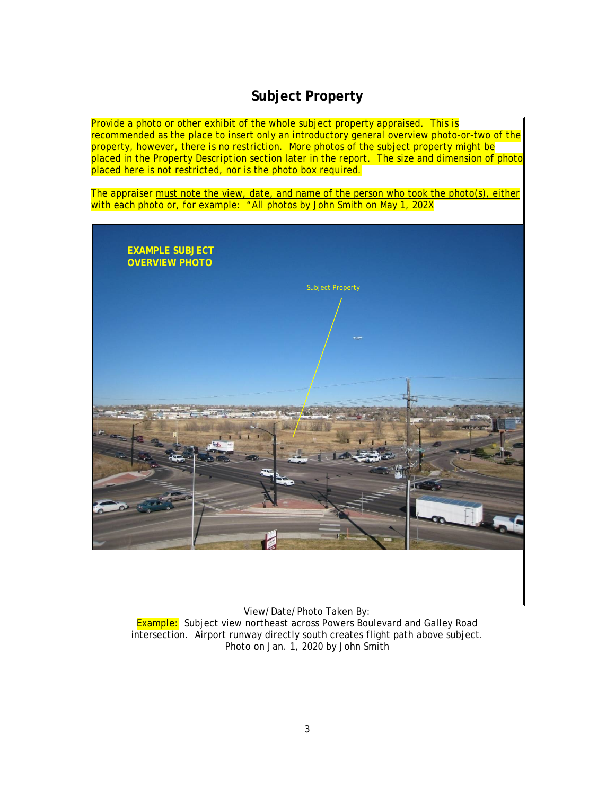# **Subject Property**

<span id="page-7-0"></span>Provide a photo or other exhibit of the whole subject property appraised. This is recommended as the place to insert only an introductory general overview photo-or-two of the property, however, there is no restriction. More photos of the subject property might be placed in the *Property Description* section later in the report. The size and dimension of photo placed here is not restricted, nor is the photo box required.

The appraiser must note the view, date, and name of the person who took the photo(s), either with each photo or, for example: "All photos by John Smith on May 1, 202X



View/Date/Photo Taken By: **Example:** Subject view northeast across Powers Boulevard and Galley Road intersection. Airport runway directly south creates flight path above subject. Photo on Jan. 1, 2020 by John Smith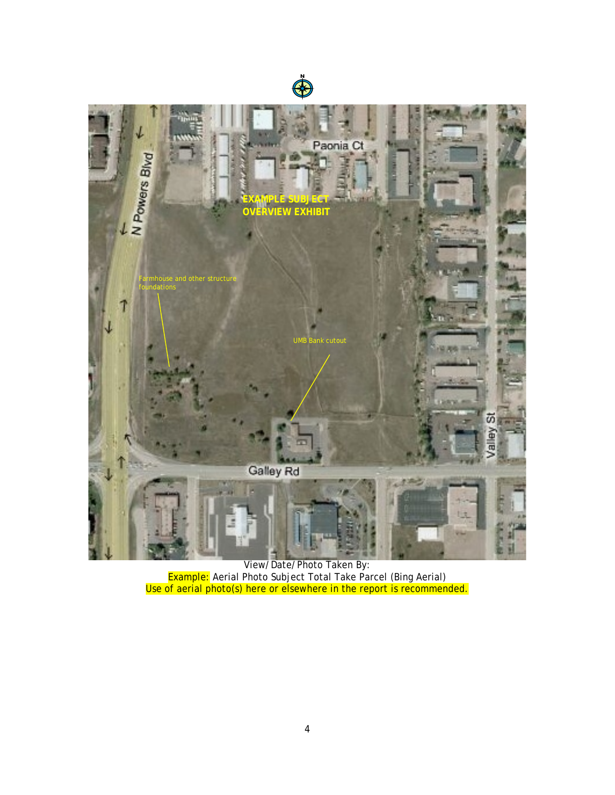



View/Date/Photo Taken By: Example: Aerial Photo Subject Total Take Parcel (Bing Aerial) Use of aerial photo(s) here or elsewhere in the report is recommended.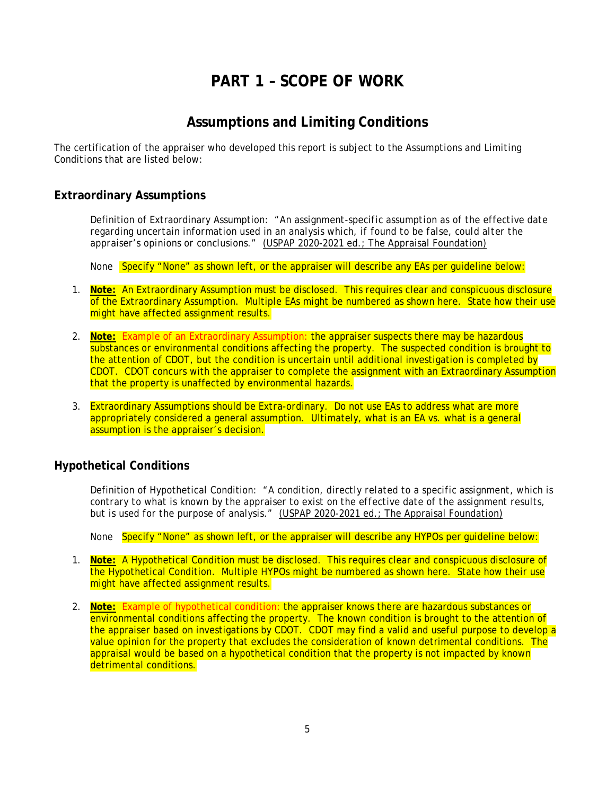# **PART 1 – SCOPE OF WORK**

## **Assumptions and Limiting Conditions**

<span id="page-9-1"></span><span id="page-9-0"></span>The certification of the appraiser who developed this report is subject to the *Assumptions and Limiting Conditions* that are listed below:

### <span id="page-9-2"></span>**Extraordinary Assumptions**

Definition of Extraordinary Assumption: "*An assignment-specific assumption as of the effective date regarding uncertain information used in an analysis which, if found to be false, could alter the appraiser's opinions or conclusions."* (USPAP 2020-2021 ed.; The Appraisal Foundation)

None Specify "None" as shown left, or the appraiser will describe any EAs per quideline below:

- 1. **Note:** An Extraordinary Assumption must be disclosed. This requires clear and conspicuous disclosure of the Extraordinary Assumption. Multiple EAs might be numbered as shown here. State how their use might have affected assignment results.
- 2. **Note:** Example of an Extraordinary Assumption: the appraiser suspects there may be hazardous substances or environmental conditions affecting the property. The suspected condition is brought to the attention of CDOT, but the condition is uncertain until additional investigation is completed by CDOT. CDOT concurs with the appraiser to complete the assignment with an Extraordinary Assumption that the property is unaffected by environmental hazards.
- 3. Extraordinary Assumptions should be *Extra-ordinary.* Do not use EAs to address what are more appropriately considered a general assumption. Ultimately, what is an EA vs. what is a general assumption is the appraiser's decision.

### <span id="page-9-3"></span>**Hypothetical Conditions**

Definition of Hypothetical Condition: "*A condition, directly related to a specific assignment, which is contrary to what is known by the appraiser to exist on the effective date of the assignment results, but is used for the purpose of analysis."* (USPAP 2020-2021 ed.; The Appraisal Foundation)

None Specify "None" as shown left, or the appraiser will describe any HYPOs per quideline below:

- 1. **Note:** A Hypothetical Condition must be disclosed. This requires clear and conspicuous disclosure of the Hypothetical Condition. Multiple HYPOs might be numbered as shown here. State how their use might have affected assignment results.
- 2. **Note:** Example of hypothetical condition: the appraiser knows there are hazardous substances or environmental conditions affecting the property. The known condition is brought to the attention of the appraiser based on investigations by CDOT. CDOT may find a valid and useful purpose to develop a value opinion for the property that excludes the consideration of known detrimental conditions. The appraisal would be based on a hypothetical condition that the property is not impacted by known detrimental conditions.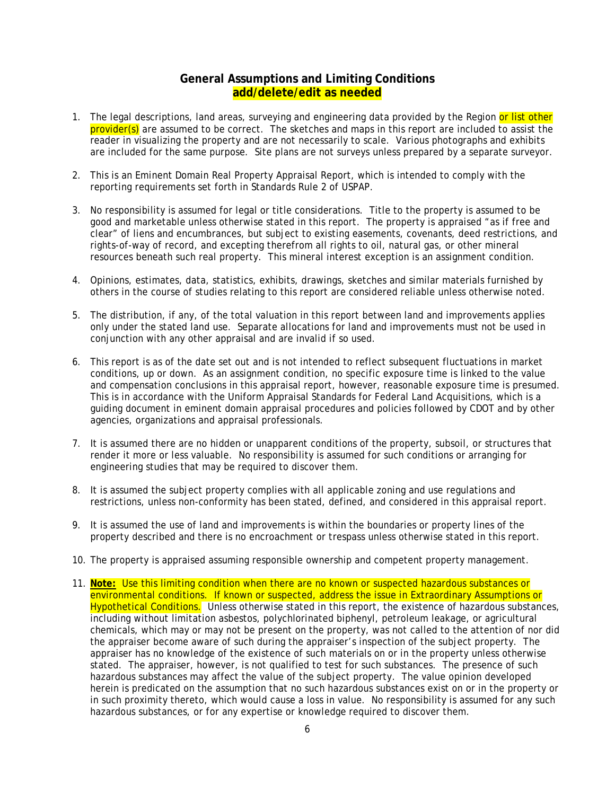### **General Assumptions and Limiting Conditions add/delete/edit as needed**

- <span id="page-10-0"></span>1. The legal descriptions, land areas, surveying and engineering data provided by the Region or list other provider(s) are assumed to be correct. The sketches and maps in this report are included to assist the reader in visualizing the property and are not necessarily to scale. Various photographs and exhibits are included for the same purpose. Site plans are not surveys unless prepared by a separate surveyor.
- 2. This is an Eminent Domain Real Property Appraisal Report, which is intended to comply with the reporting requirements set forth in Standards Rule 2 of USPAP.
- 3. No responsibility is assumed for legal or title considerations. Title to the property is assumed to be good and marketable unless otherwise stated in this report. The property is appraised "as if free and clear" of liens and encumbrances, but subject to existing easements, covenants, deed restrictions, and rights-of-way of record, and excepting therefrom all rights to oil, natural gas, or other mineral resources beneath such real property. This mineral interest exception is an assignment condition.
- 4. Opinions, estimates, data, statistics, exhibits, drawings, sketches and similar materials furnished by others in the course of studies relating to this report are considered reliable unless otherwise noted.
- 5. The distribution, if any, of the total valuation in this report between land and improvements applies only under the stated land use. Separate allocations for land and improvements must not be used in conjunction with any other appraisal and are invalid if so used.
- 6. This report is as of the date set out and is not intended to reflect subsequent fluctuations in market conditions, up or down. As an assignment condition, no specific exposure time is linked to the value and compensation conclusions in this appraisal report, however, reasonable exposure time is presumed. This is in accordance with the Uniform Appraisal Standards for Federal Land Acquisitions, which is a guiding document in eminent domain appraisal procedures and policies followed by CDOT and by other agencies, organizations and appraisal professionals.
- 7. It is assumed there are no hidden or unapparent conditions of the property, subsoil, or structures that render it more or less valuable. No responsibility is assumed for such conditions or arranging for engineering studies that may be required to discover them.
- 8. It is assumed the subject property complies with all applicable zoning and use regulations and restrictions, unless non-conformity has been stated, defined, and considered in this appraisal report.
- 9. It is assumed the use of land and improvements is within the boundaries or property lines of the property described and there is no encroachment or trespass unless otherwise stated in this report.
- 10. The property is appraised assuming responsible ownership and competent property management.
- 11. **Note:** Use this limiting condition when there are no known or suspected hazardous substances or environmental conditions. If known or suspected, address the issue in Extraordinary Assumptions or Hypothetical Conditions. Unless otherwise stated in this report, the existence of hazardous substances, including without limitation asbestos, polychlorinated biphenyl, petroleum leakage, or agricultural chemicals, which may or may not be present on the property, was not called to the attention of nor did the appraiser become aware of such during the appraiser's inspection of the subject property. The appraiser has no knowledge of the existence of such materials on or in the property unless otherwise stated. The appraiser, however, is not qualified to test for such substances. The presence of such hazardous substances may affect the value of the subject property. The value opinion developed herein is predicated on the assumption that no such hazardous substances exist on or in the property or in such proximity thereto, which would cause a loss in value. No responsibility is assumed for any such hazardous substances, or for any expertise or knowledge required to discover them.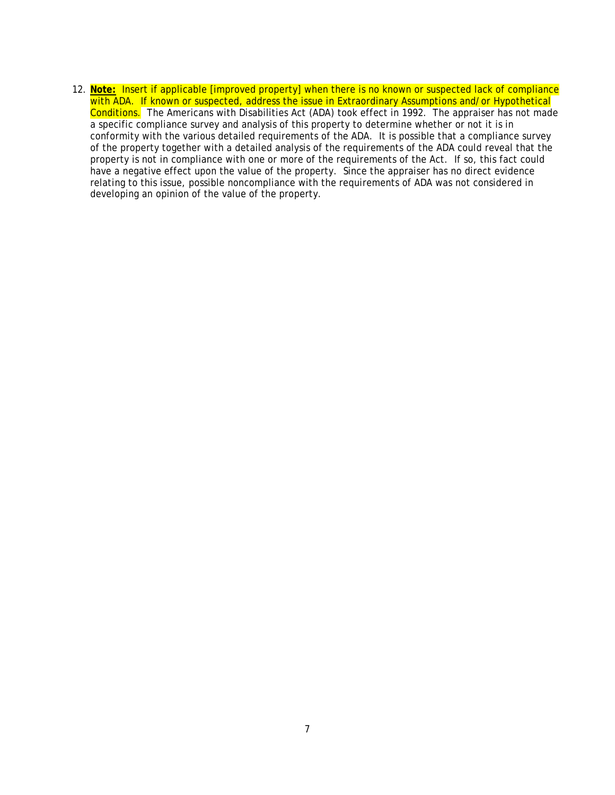12. **Note:** Insert if applicable [improved property] when there is no known or suspected lack of compliance with ADA. If known or suspected, address the issue in Extraordinary Assumptions and/or Hypothetical Conditions. The Americans with Disabilities Act (ADA) took effect in 1992. The appraiser has not made a specific compliance survey and analysis of this property to determine whether or not it is in conformity with the various detailed requirements of the ADA. It is possible that a compliance survey of the property together with a detailed analysis of the requirements of the ADA could reveal that the property is not in compliance with one or more of the requirements of the Act. If so, this fact could have a negative effect upon the value of the property. Since the appraiser has no direct evidence relating to this issue, possible noncompliance with the requirements of ADA was not considered in developing an opinion of the value of the property.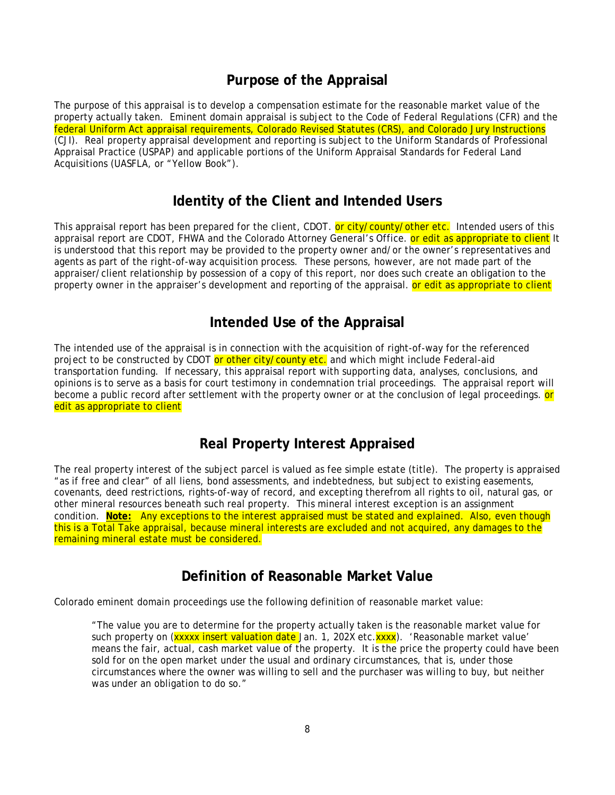## **Purpose of the Appraisal**

<span id="page-12-0"></span>The purpose of this appraisal is to develop a compensation estimate for the reasonable market value of the property actually taken. Eminent domain appraisal is subject to the Code of Federal Regulations (CFR) and the federal Uniform Act appraisal requirements, Colorado Revised Statutes (CRS), and Colorado Jury Instructions (CJI). Real property appraisal development and reporting is subject to the Uniform Standards of Professional Appraisal Practice (USPAP) and applicable portions of the Uniform Appraisal Standards for Federal Land Acquisitions (UASFLA, or "Yellow Book").

## **Identity of the Client and Intended Users**

<span id="page-12-1"></span>This appraisal report has been prepared for the client, CDOT. or city/county/other etc. Intended users of this appraisal report are CDOT, FHWA and the Colorado Attorney General's Office. or edit as appropriate to client It is understood that this report may be provided to the property owner and/or the owner's representatives and agents as part of the right-of-way acquisition process. These persons, however, are not made part of the appraiser/client relationship by possession of a copy of this report, nor does such create an obligation to the property owner in the appraiser's development and reporting of the appraisal. **or edit as appropriate to client** 

## **Intended Use of the Appraisal**

<span id="page-12-2"></span>The intended use of the appraisal is in connection with the acquisition of right-of-way for the referenced project to be constructed by CDOT or other city/county etc. and which might include Federal-aid transportation funding. If necessary, this appraisal report with supporting data, analyses, conclusions, and opinions is to serve as a basis for court testimony in condemnation trial proceedings. The appraisal report will become a public record after settlement with the property owner or at the conclusion of legal proceedings, or edit as appropriate to client

# **Real Property Interest Appraised**

<span id="page-12-3"></span>The real property interest of the subject parcel is valued as fee simple estate (title). The property is appraised "as if free and clear" of all liens, bond assessments, and indebtedness, but subject to existing easements, covenants, deed restrictions, rights-of-way of record, and excepting therefrom all rights to oil, natural gas, or other mineral resources beneath such real property. This mineral interest exception is an assignment condition. **Note:** Any exceptions to the interest appraised must be stated and explained. Also, even though this is a Total Take appraisal, because mineral interests are excluded and not acquired, any damages to the remaining mineral estate must be considered.

## **Definition of Reasonable Market Value**

<span id="page-12-4"></span>Colorado eminent domain proceedings use the following definition of reasonable market value:

"The value you are to determine for the property actually taken is the reasonable market value for such property on (**xxxxx insert valuation date** Jan. 1, 202X etc. **xxxx**). 'Reasonable market value' means the fair, actual, cash market value of the property. It is the price the property could have been sold for on the open market under the usual and ordinary circumstances, that is, under those circumstances where the owner was willing to sell and the purchaser was willing to buy, but neither was under an obligation to do so."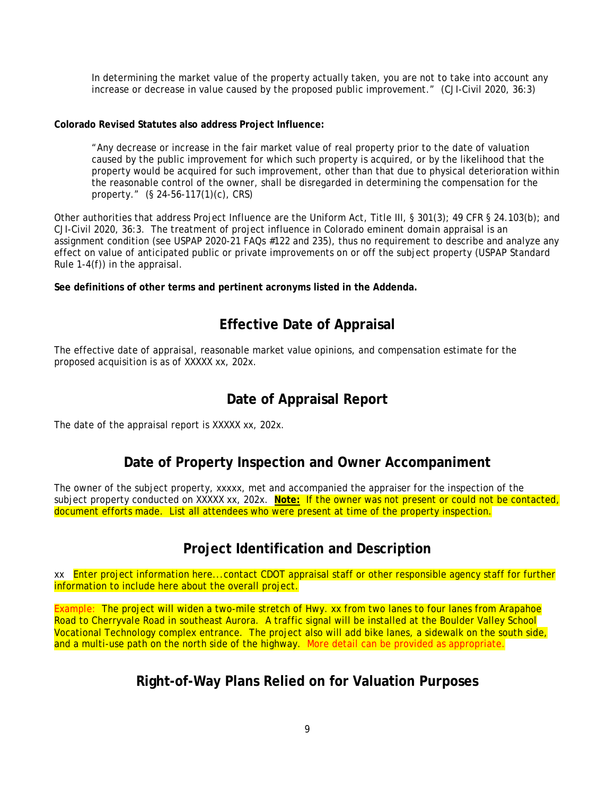In determining the market value of the property actually taken, you are not to take into account any increase or decrease in value caused by the proposed public improvement." (CJI-Civil 2020, 36:3)

#### **Colorado Revised Statutes also address Project Influence:**

"Any decrease or increase in the fair market value of real property prior to the date of valuation caused by the public improvement for which such property is acquired, or by the likelihood that the property would be acquired for such improvement, other than that due to physical deterioration within the reasonable control of the owner, shall be disregarded in determining the compensation for the property." (§ 24-56-117(1)(c), CRS)

Other authorities that address Project Influence are the Uniform Act, Title III, § 301(3); 49 CFR § 24.103(b); and CJI-Civil 2020, 36:3. The treatment of project influence in Colorado eminent domain appraisal is an assignment condition (see USPAP 2020-21 FAQs #122 and 235), thus no requirement to describe and analyze any effect on value of anticipated public or private improvements on or off the subject property (USPAP Standard Rule 1-4(f)) in the appraisal.

**See definitions of other terms and pertinent acronyms listed in the Addenda.**

# **Effective Date of Appraisal**

<span id="page-13-0"></span>The effective date of appraisal, reasonable market value opinions, and compensation estimate for the proposed acquisition is as of XXXXX xx, 202x.

# **Date of Appraisal Report**

<span id="page-13-1"></span>The date of the appraisal report is XXXXX xx, 202x.

## **Date of Property Inspection and Owner Accompaniment**

<span id="page-13-2"></span>The owner of the subject property, xxxxx, met and accompanied the appraiser for the inspection of the subject property conducted on XXXXX xx, 202x. **Note:** If the owner was not present or could not be contacted, document efforts made. List all attendees who were present at time of the property inspection.

# **Project Identification and Description**

<span id="page-13-3"></span>xx Enter project information here...contact CDOT appraisal staff or other responsible agency staff for further information to include here about the overall project.

<span id="page-13-4"></span>Example: The project will widen a two-mile stretch of Hwy. xx from two lanes to four lanes from Arapahoe Road to Cherryvale Road in southeast Aurora. A traffic signal will be installed at the Boulder Valley School Vocational Technology complex entrance. The project also will add bike lanes, a sidewalk on the south side, and a multi-use path on the north side of the highway. More detail can be provided as appropriate.

# **Right-of-Way Plans Relied on for Valuation Purposes**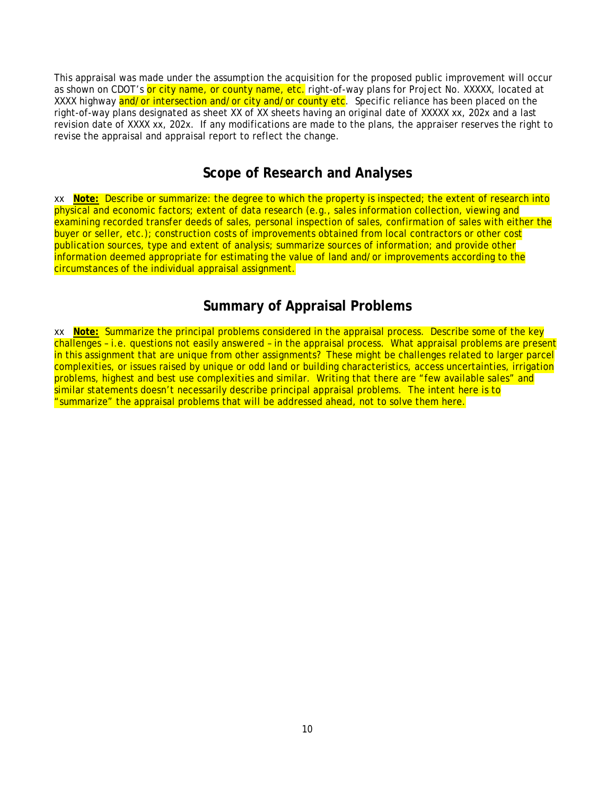This appraisal was made under the assumption the acquisition for the proposed public improvement will occur as shown on CDOT's or city name, or county name, etc. right-of-way plans for Project No. XXXXX, located at XXXX highway and/or intersection and/or city and/or county etc. Specific reliance has been placed on the right-of-way plans designated as sheet XX of XX sheets having an original date of XXXXX xx, 202x and a last revision date of XXXX xx, 202x. If any modifications are made to the plans, the appraiser reserves the right to revise the appraisal and appraisal report to reflect the change.

## **Scope of Research and Analyses**

<span id="page-14-0"></span>xx **Note:** Describe or summarize: the degree to which the property is inspected; the extent of research into physical and economic factors; extent of data research (e.g., sales information collection, viewing and examining recorded transfer deeds of sales, personal inspection of sales, confirmation of sales with either the buyer or seller, etc.); construction costs of improvements obtained from local contractors or other cost publication sources, type and extent of analysis; summarize sources of information; and provide other information deemed appropriate for estimating the value of land and/or improvements according to the circumstances of the individual appraisal assignment.

# **Summary of Appraisal Problems**

<span id="page-14-1"></span>xx **Note:** Summarize the principal problems considered in the appraisal process. Describe some of the key challenges – i.e. questions not easily answered – in the appraisal process. What appraisal problems are present in this assignment that are unique from other assignments? These might be challenges related to larger parcel complexities, or issues raised by unique or odd land or building characteristics, access uncertainties, irrigation problems, highest and best use complexities and similar. Writing that there are "few available sales" and similar statements doesn't necessarily describe principal appraisal problems. The intent here is to "summarize" the appraisal problems that will be addressed ahead, not to solve them here.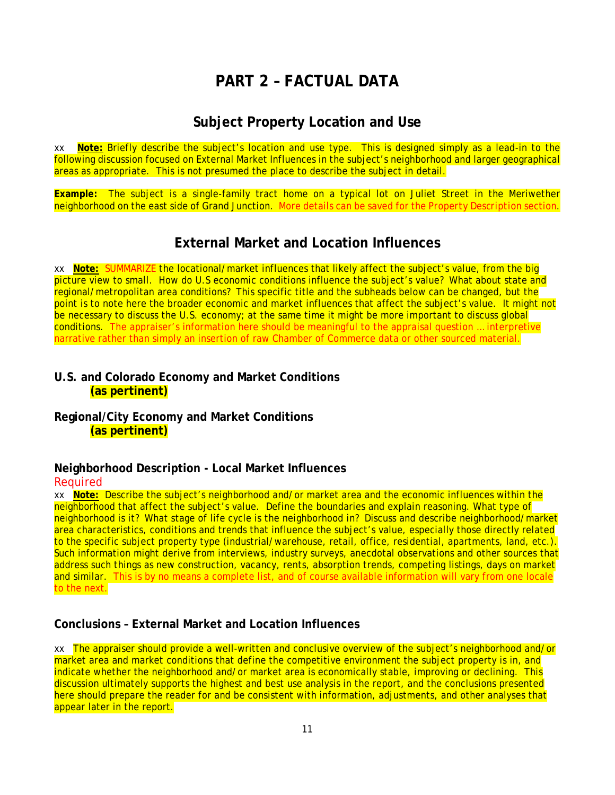# **PART 2 – FACTUAL DATA**

## **Subject Property Location and Use**

<span id="page-15-1"></span><span id="page-15-0"></span>xx **Note:** Briefly describe the subject's location and use type. This is designed simply as a lead-in to the following discussion focused on External Market Influences in the subject's neighborhood and larger geographical areas as appropriate. This is not presumed the place to describe the subject in detail.

**Example:** The subject is a single-family tract home on a typical lot on Juliet Street in the Meriwether neighborhood on the east side of Grand Junction. More details can be saved for the *Property Description* section.

# **External Market and Location Influences**

<span id="page-15-2"></span>xx **Note:** SUMMARIZE the locational/market influences that likely affect the subject's value, from the big picture view to small. How do U.S economic conditions influence the subject's value? What about state and regional/metropolitan area conditions? This specific title and the subheads below can be changed, but the point is to note here the broader economic and market influences that affect the subject's value. It might not be necessary to discuss the U.S. economy; at the same time it might be more important to discuss global conditions. The appraiser's information here should be meaningful to the appraisal question … interpretive narrative rather than simply an insertion of raw Chamber of Commerce data or other sourced material.

## <span id="page-15-3"></span>**U.S. and Colorado Economy and Market Conditions (as pertinent)**

<span id="page-15-4"></span>**Regional/City Economy and Market Conditions (as pertinent)**

### <span id="page-15-5"></span>**Neighborhood Description - Local Market Influences**

### Required

xx **Note:** Describe the subject's neighborhood and/or market area and the economic influences within the neighborhood that affect the subject's value. Define the boundaries and explain reasoning. What type of neighborhood is it? What stage of life cycle is the neighborhood in? Discuss and describe neighborhood/market area characteristics, conditions and trends that influence the subject's value, especially those directly related to the specific subject property type (industrial/warehouse, retail, office, residential, apartments, land, etc.). Such information might derive from interviews, industry surveys, anecdotal observations and other sources that address such things as new construction, vacancy, rents, absorption trends, competing listings, days on market and similar. This is by no means a complete list, and of course available information will vary from one locale to the next.

## <span id="page-15-6"></span>**Conclusions – External Market and Location Influences**

xx The appraiser should provide a well-written and conclusive overview of the subject's neighborhood and/or market area and market conditions that define the competitive environment the subject property is in, and indicate whether the neighborhood and/or market area is economically stable, improving or declining. This discussion ultimately supports the highest and best use analysis in the report, and the conclusions presented here should prepare the reader for and be consistent with information, adjustments, and other analyses that appear later in the report.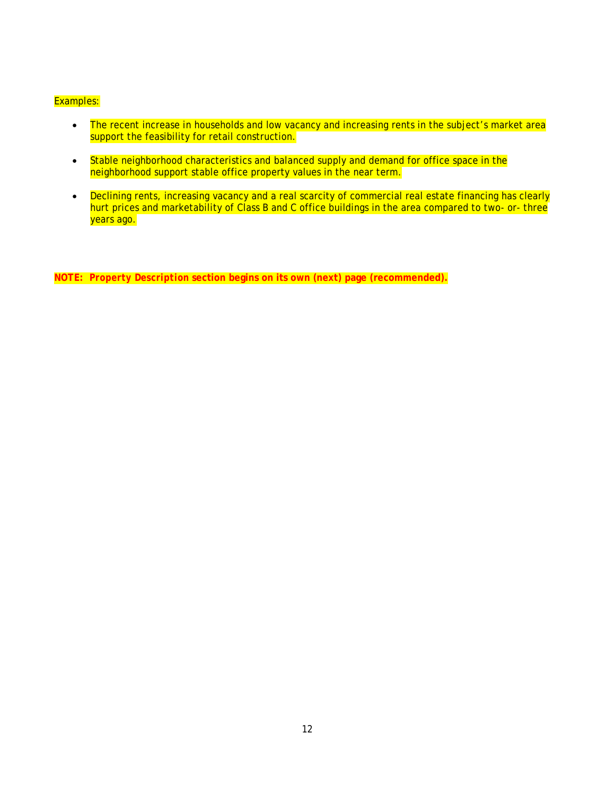#### Examples:

- The recent increase in households and low vacancy and increasing rents in the subject's market area support the feasibility for retail construction.
- Stable neighborhood characteristics and balanced supply and demand for office space in the neighborhood support stable office property values in the near term.
- Declining rents, increasing vacancy and a real scarcity of commercial real estate financing has clearly hurt prices and marketability of Class B and C office buildings in the area compared to two- or- three years ago.

**NOTE:** *Property Description* **section begins on its own (next) page (recommended).**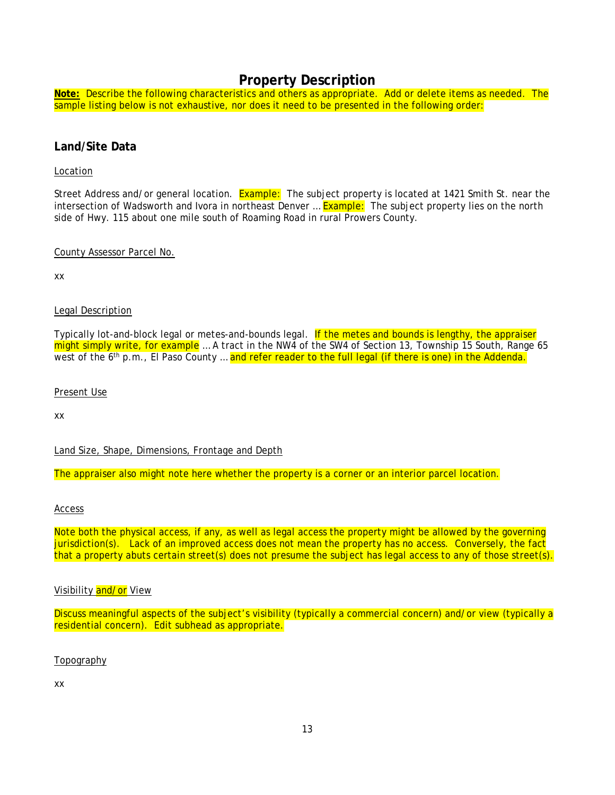## **Property Description**

<span id="page-17-0"></span>**Note:** Describe the following characteristics and others as appropriate. Add or delete items as needed. The sample listing below is not exhaustive, nor does it need to be presented in the following order:

### <span id="page-17-1"></span>**Land/Site Data**

#### Location

Street Address and/or general location. Example: The subject property is located at 1421 Smith St. near the intersection of Wadsworth and Ivora in northeast Denver ... **Example:** The subject property lies on the north side of Hwy. 115 about one mile south of Roaming Road in rural Prowers County.

#### County Assessor Parcel No.

xx

### Legal Description

Typically lot-and-block legal or metes-and-bounds legal. If the metes and bounds is lengthy, the appraiser might simply write, for example … A tract in the NW4 of the SW4 of Section 13, Township 15 South, Range 65 west of the 6<sup>th</sup> p.m., El Paso County ... and refer reader to the full legal (if there is one) in the Addenda.

#### Present Use

xx

Land Size, Shape, Dimensions, Frontage and Depth

The appraiser also might note here whether the property is a corner or an interior parcel location.

#### Access

Note both the physical access, if any, as well as legal access the property might be allowed by the governing jurisdiction(s). Lack of an improved access does not mean the property has no access. Conversely, the fact that a property abuts certain street(s) does not presume the subject has legal access to any of those street(s).

### Visibility and/or View

Discuss meaningful aspects of the subject's visibility (typically a commercial concern) and/or view (typically a residential concern). Edit subhead as appropriate.

Topography

xx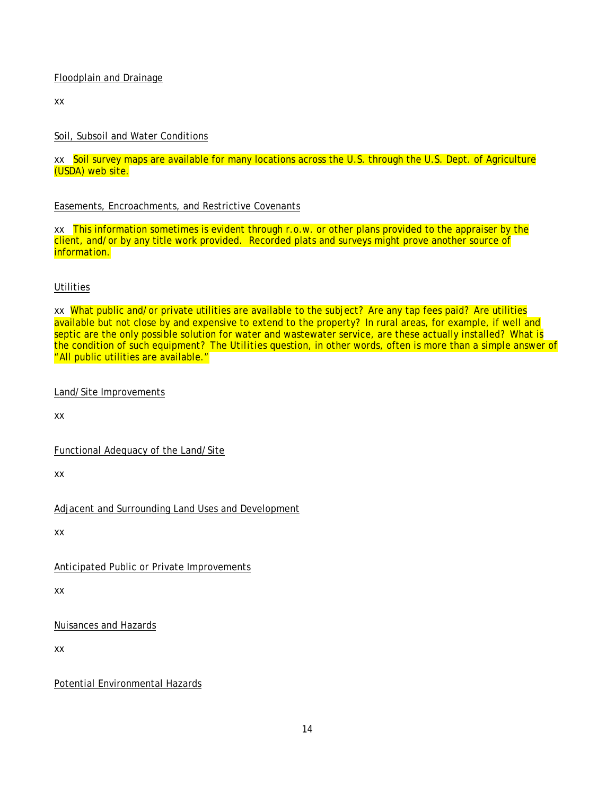### Floodplain and Drainage

xx

### Soil, Subsoil and Water Conditions

xx Soil survey maps are available for many locations across the U.S. through the U.S. Dept. of Agriculture (USDA) web site.

### Easements, Encroachments, and Restrictive Covenants

xx This information sometimes is evident through r.o.w. or other plans provided to the appraiser by the client, and/or by any title work provided. Recorded plats and surveys might prove another source of information.

### **Utilities**

xx What public and/or private utilities are available to the subject? Are any tap fees paid? Are utilities available but not close by and expensive to extend to the property? In rural areas, for example, if well and septic are the only possible solution for water and wastewater service, are these actually installed? What is the condition of such equipment? The *Utilities* question, in other words, often is more than a simple answer of "All public utilities are available."

Land/Site Improvements

xx

Functional Adequacy of the Land/Site

xx

Adjacent and Surrounding Land Uses and Development

xx

Anticipated Public or Private Improvements

xx

Nuisances and Hazards

xx

Potential Environmental Hazards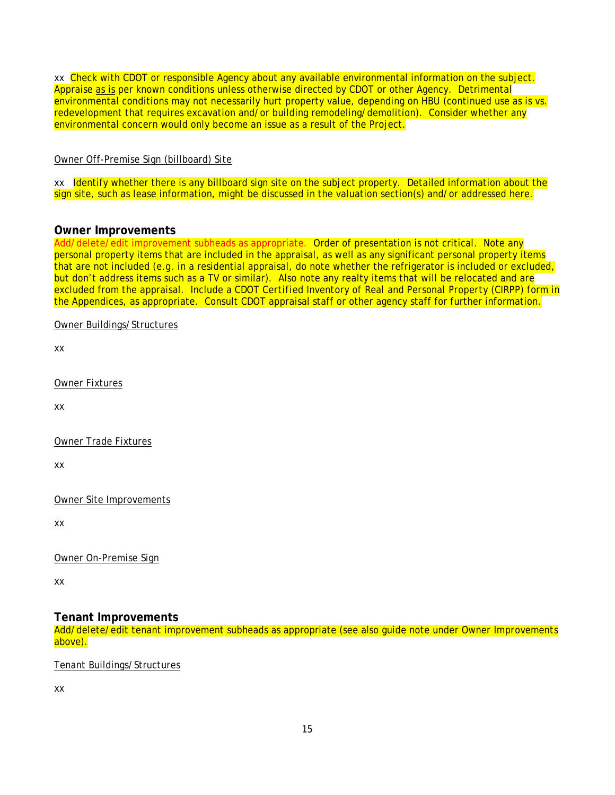xx Check with CDOT or responsible Agency about any available environmental information on the subject. Appraise as is per known conditions unless otherwise directed by CDOT or other Agency. Detrimental environmental conditions may not necessarily hurt property value, depending on HBU (continued use as is vs. redevelopment that requires excavation and/or building remodeling/demolition). Consider whether any environmental concern would only become an issue as a result of the Project.

### Owner Off-Premise Sign (billboard) Site

xx Identify whether there is any billboard sign site on the subject property. Detailed information about the sign site, such as lease information, might be discussed in the valuation section(s) and/or addressed here.

### <span id="page-19-0"></span>**Owner Improvements**

Add/delete/edit improvement subheads as appropriate. Order of presentation is not critical. Note any personal property items that are included in the appraisal, as well as any significant personal property items that are not included (e.g. in a residential appraisal, do note whether the refrigerator is included or excluded, but don't address items such as a TV or similar). Also note any realty items that will be relocated and are excluded from the appraisal. Include a CDOT *Certified Inventory of Real and Personal Property* (CIRPP) form in the Appendices, as appropriate. Consult CDOT appraisal staff or other agency staff for further information.

Owner Buildings/Structures

xx

Owner Fixtures

xx

Owner Trade Fixtures

xx

Owner Site Improvements

xx

Owner On-Premise Sign

xx

### <span id="page-19-1"></span>**Tenant Improvements**

Add/delete/edit tenant improvement subheads as appropriate (see also guide note under *Owner Improvements* above).

Tenant Buildings/Structures

xx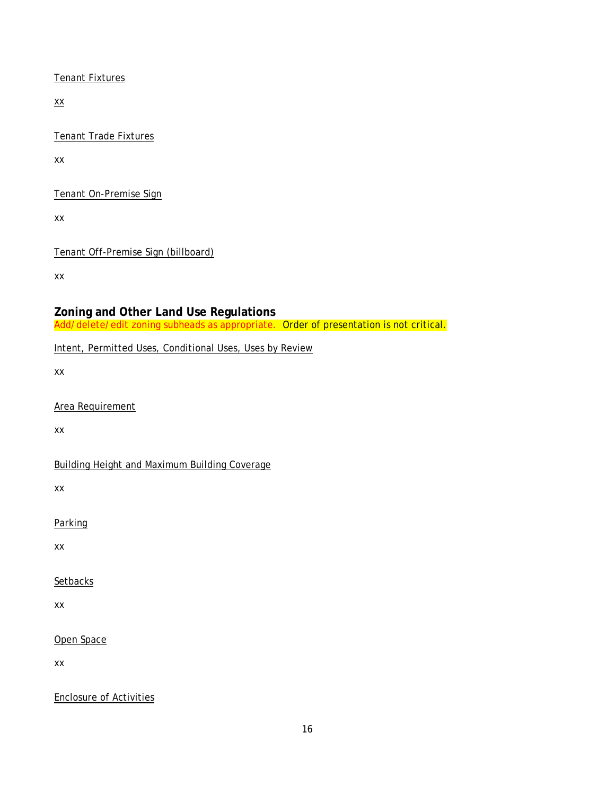Tenant Fixtures

xx

Tenant Trade Fixtures

xx

Tenant On-Premise Sign

xx

Tenant Off-Premise Sign (billboard)

xx

## <span id="page-20-0"></span>**Zoning and Other Land Use Regulations**

Add/delete/edit zoning subheads as appropriate. Order of presentation is not critical.

Intent, Permitted Uses, Conditional Uses, Uses by Review

xx

Area Requirement

xx

Building Height and Maximum Building Coverage

xx

Parking

xx

**Setbacks** 

xx

Open Space

xx

Enclosure of Activities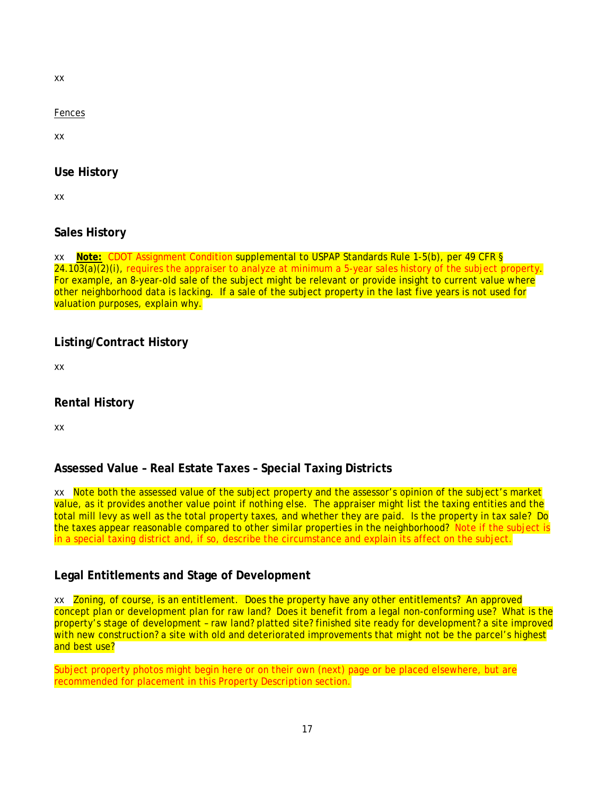xx

Fences

xx

## <span id="page-21-0"></span>**Use History**

xx

## <span id="page-21-1"></span>**Sales History**

xx **Note:** CDOT Assignment Condition supplemental to USPAP Standards Rule 1-5(b), per 49 CFR § 24.103(a)(2)(i), requires the appraiser to analyze at minimum a 5-year sales history of the subject property. For example, an 8-year-old sale of the subject might be relevant or provide insight to current value where other neighborhood data is lacking. If a sale of the subject property in the last five years is not used for valuation purposes, explain why.

## <span id="page-21-2"></span>**Listing/Contract History**

xx

## <span id="page-21-3"></span>**Rental History**

xx

## <span id="page-21-4"></span>**Assessed Value – Real Estate Taxes – Special Taxing Districts**

xx Note both the assessed value of the subject property and the assessor's opinion of the subject's market value, as it provides another value point if nothing else. The appraiser might list the taxing entities and the total mill levy as well as the total property taxes, and whether they are paid. Is the property in tax sale? Do the taxes appear reasonable compared to other similar properties in the neighborhood? Note if the subject is in a special taxing district and, if so, describe the circumstance and explain its affect on the subject.

## <span id="page-21-5"></span>**Legal Entitlements and Stage of Development**

xx Zoning, of course, is an entitlement. Does the property have any other entitlements? An approved concept plan or development plan for raw land? Does it benefit from a legal non-conforming use? What is the property's stage of development – raw land? platted site? finished site ready for development? a site improved with new construction? a site with old and deteriorated improvements that might not be the parcel's highest and best use?

Subject property photos might begin here or on their own (next) page or be placed elsewhere, but are recommended for placement in this *Property Description* section.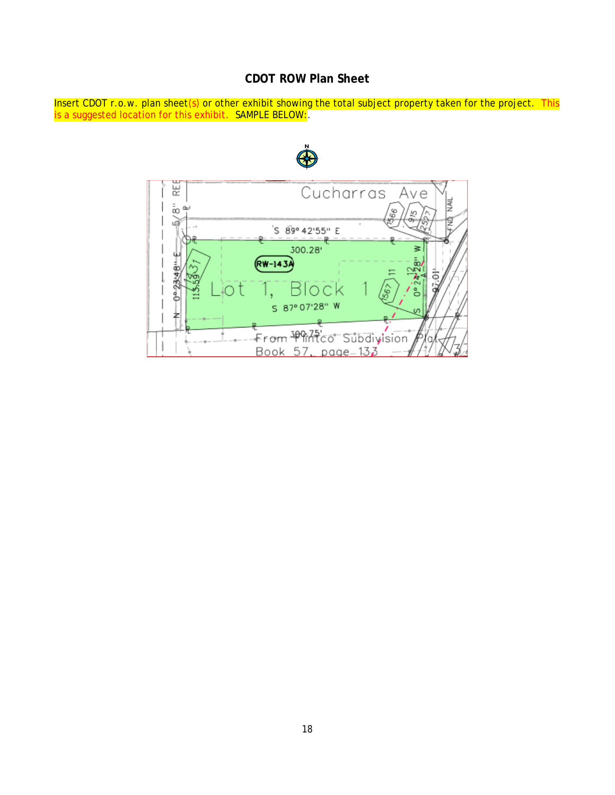## **CDOT ROW Plan Sheet**

<span id="page-22-0"></span>Insert CDOT r.o.w. plan sheet(s) or other exhibit showing the total subject property taken for the project. This is a suggested location for this exhibit. SAMPLE BELOW:

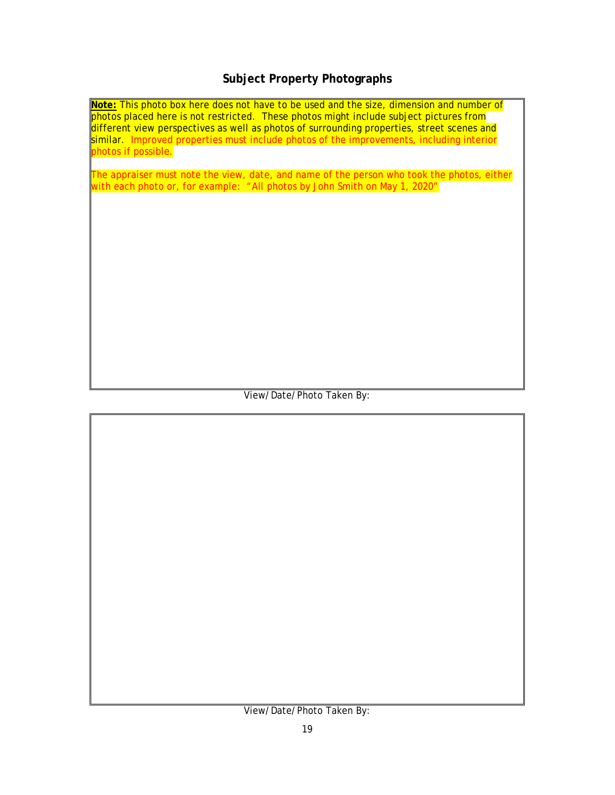## **Subject Property Photographs**

<span id="page-23-0"></span>**Note:** This photo box here does not have to be used and the size, dimension and number of photos placed here is not restricted. These photos might include subject pictures from different view perspectives as well as photos of surrounding properties, street scenes and similar. Improved properties must include photos of the improvements, including interior photos if possible.

The appraiser must note the view, date, and name of the person who took the photos, either with each photo or, for example: "All photos by John Smith on May 1, 2020"

View/Date/Photo Taken By:

View/Date/Photo Taken By: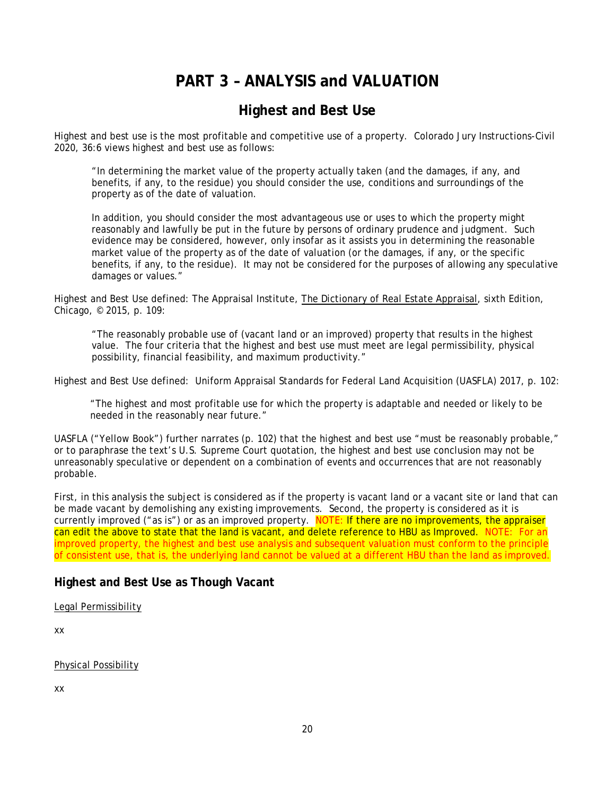# **PART 3 – ANALYSIS and VALUATION**

# **Highest and Best Use**

<span id="page-24-1"></span><span id="page-24-0"></span>Highest and best use is the most profitable and competitive use of a property. Colorado Jury Instructions-Civil 2020, 36:6 views highest and best use as follows:

"In determining the market value of the property actually taken (and the damages, if any, and benefits, if any, to the residue) you should consider the use, conditions and surroundings of the property as of the date of valuation.

In addition, you should consider the most advantageous use or uses to which the property might reasonably and lawfully be put in the future by persons of ordinary prudence and judgment. Such evidence may be considered, however, only insofar as it assists you in determining the reasonable market value of the property as of the date of valuation (or the damages, if any, or the specific benefits, if any, to the residue). It may not be considered for the purposes of allowing any speculative damages or values."

Highest and Best Use defined: The Appraisal Institute, The Dictionary of Real Estate Appraisal, sixth Edition, Chicago, © 2015, p. 109:

"The reasonably probable use of (vacant land or an improved) property that results in the highest value. The four criteria that the highest and best use must meet are legal permissibility, physical possibility, financial feasibility, and maximum productivity."

Highest and Best Use defined: Uniform Appraisal Standards for Federal Land Acquisition (UASFLA) 2017, p. 102:

"The highest and most profitable use for which the property is adaptable and needed or likely to be needed in the reasonably near future."

UASFLA ("Yellow Book") further narrates (p. 102) that the highest and best use "must be reasonably probable," or to paraphrase the text's U.S. Supreme Court quotation, the highest and best use conclusion may not be unreasonably speculative or dependent on a combination of events and occurrences that are not reasonably probable.

First, in this analysis the subject is considered as if the property is vacant land or a vacant site or land that can be made vacant by demolishing any existing improvements. Second, the property is considered as it is currently improved ("as is") or as an improved property. NOTE: If there are no improvements, the appraiser can edit the above to state that the land is vacant, and delete reference to *HBU as Improved*. NOTE: For an improved property, the highest and best use analysis and subsequent valuation must conform to the principle of consistent use, that is, the underlying land cannot be valued at a different HBU than the land as improved.

## <span id="page-24-2"></span>**Highest and Best Use as Though Vacant**

Legal Permissibility

xx

Physical Possibility

xx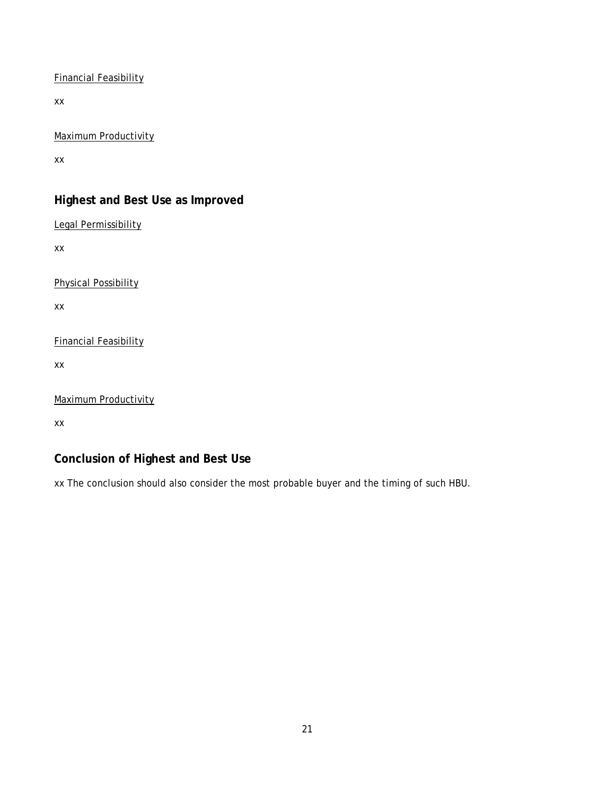Financial Feasibility

xx

Maximum Productivity

xx

## <span id="page-25-0"></span>**Highest and Best Use as Improved**

Legal Permissibility

xx

Physical Possibility

xx

Financial Feasibility

xx

Maximum Productivity

xx

## <span id="page-25-1"></span>**Conclusion of Highest and Best Use**

xx The conclusion should also consider the most probable buyer and the timing of such HBU.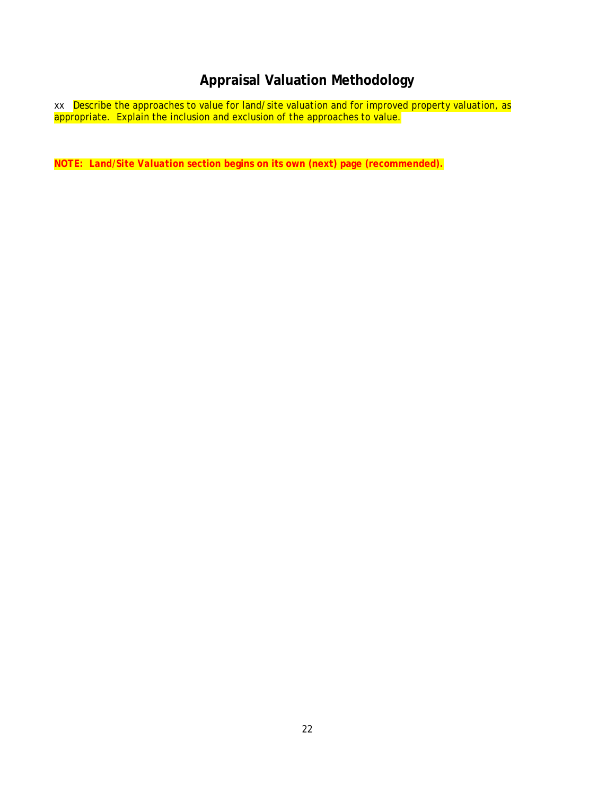# **Appraisal Valuation Methodology**

<span id="page-26-0"></span>xx Describe the approaches to value for land/site valuation and for improved property valuation, as appropriate. Explain the inclusion and exclusion of the approaches to value.

**NOTE:** *Land/Site Valuation* **section begins on its own (next) page (recommended).**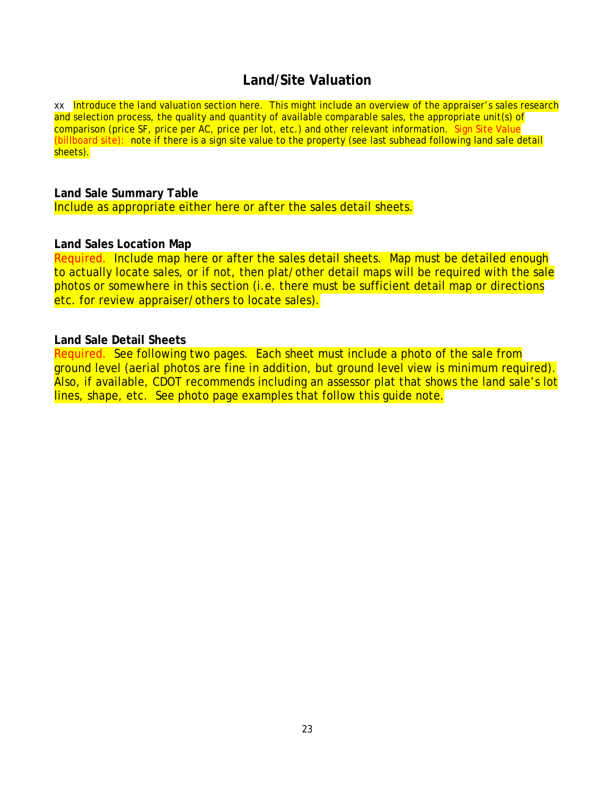## **Land/Site Valuation**

<span id="page-27-0"></span>xx Introduce the land valuation section here. This might include an overview of the appraiser's sales research and selection process, the quality and quantity of available comparable sales, the appropriate unit(s) of comparison (price SF, price per AC, price per lot, etc.) and other relevant information. Sign Site Value (billboard site): note if there is a sign site value to the property (see last subhead following land sale detail sheets).

## <span id="page-27-1"></span>**Land Sale Summary Table**

Include as appropriate either here or after the sales detail sheets.

### <span id="page-27-2"></span>**Land Sales Location Map**

Required. Include map here or after the sales detail sheets. Map must be detailed enough to actually locate sales, or if not, then plat/other detail maps will be required with the sale photos or somewhere in this section (i.e. there must be sufficient detail map or directions etc. for review appraiser/others to locate sales).

### <span id="page-27-3"></span>**Land Sale Detail Sheets**

Required. See following two pages. Each sheet must include a photo of the sale from ground level (aerial photos are fine in addition, but ground level view is minimum required). Also, if available, CDOT recommends including an assessor plat that shows the land sale's lot lines, shape, etc. See photo page examples that follow this guide note.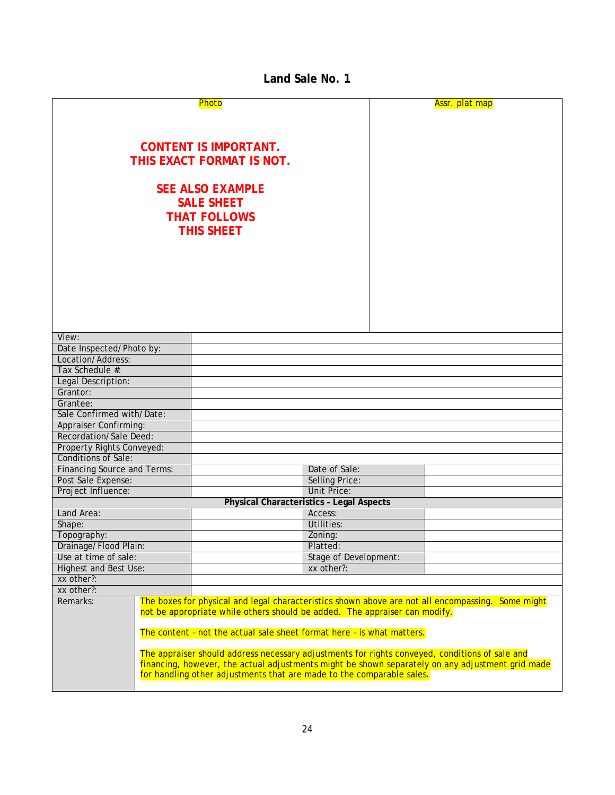## **Land Sale No. 1**

<span id="page-28-0"></span>

| Photo                                                                                                                                                                     |  |                                                                            | Assr. plat map        |  |                                                                                                   |
|---------------------------------------------------------------------------------------------------------------------------------------------------------------------------|--|----------------------------------------------------------------------------|-----------------------|--|---------------------------------------------------------------------------------------------------|
|                                                                                                                                                                           |  |                                                                            |                       |  |                                                                                                   |
|                                                                                                                                                                           |  |                                                                            |                       |  |                                                                                                   |
|                                                                                                                                                                           |  |                                                                            |                       |  |                                                                                                   |
|                                                                                                                                                                           |  | <b>CONTENT IS IMPORTANT.</b>                                               |                       |  |                                                                                                   |
|                                                                                                                                                                           |  | THIS EXACT FORMAT IS NOT.                                                  |                       |  |                                                                                                   |
|                                                                                                                                                                           |  |                                                                            |                       |  |                                                                                                   |
|                                                                                                                                                                           |  |                                                                            |                       |  |                                                                                                   |
|                                                                                                                                                                           |  | <b>SEE ALSO EXAMPLE</b>                                                    |                       |  |                                                                                                   |
|                                                                                                                                                                           |  | <b>SALE SHEET</b>                                                          |                       |  |                                                                                                   |
|                                                                                                                                                                           |  |                                                                            |                       |  |                                                                                                   |
|                                                                                                                                                                           |  | <b>THAT FOLLOWS</b>                                                        |                       |  |                                                                                                   |
|                                                                                                                                                                           |  | <b>THIS SHEET</b>                                                          |                       |  |                                                                                                   |
|                                                                                                                                                                           |  |                                                                            |                       |  |                                                                                                   |
|                                                                                                                                                                           |  |                                                                            |                       |  |                                                                                                   |
|                                                                                                                                                                           |  |                                                                            |                       |  |                                                                                                   |
|                                                                                                                                                                           |  |                                                                            |                       |  |                                                                                                   |
|                                                                                                                                                                           |  |                                                                            |                       |  |                                                                                                   |
|                                                                                                                                                                           |  |                                                                            |                       |  |                                                                                                   |
|                                                                                                                                                                           |  |                                                                            |                       |  |                                                                                                   |
|                                                                                                                                                                           |  |                                                                            |                       |  |                                                                                                   |
|                                                                                                                                                                           |  |                                                                            |                       |  |                                                                                                   |
| View:                                                                                                                                                                     |  |                                                                            |                       |  |                                                                                                   |
| Date Inspected/Photo by:                                                                                                                                                  |  |                                                                            |                       |  |                                                                                                   |
| Location/Address:                                                                                                                                                         |  |                                                                            |                       |  |                                                                                                   |
| Tax Schedule #:                                                                                                                                                           |  |                                                                            |                       |  |                                                                                                   |
| Legal Description:                                                                                                                                                        |  |                                                                            |                       |  |                                                                                                   |
| Grantor:                                                                                                                                                                  |  |                                                                            |                       |  |                                                                                                   |
| Grantee:                                                                                                                                                                  |  |                                                                            |                       |  |                                                                                                   |
| Sale Confirmed with/Date:                                                                                                                                                 |  |                                                                            |                       |  |                                                                                                   |
| <b>Appraiser Confirming:</b>                                                                                                                                              |  |                                                                            |                       |  |                                                                                                   |
| Recordation/Sale Deed:                                                                                                                                                    |  |                                                                            |                       |  |                                                                                                   |
| Property Rights Conveyed:                                                                                                                                                 |  |                                                                            |                       |  |                                                                                                   |
| <b>Conditions of Sale:</b>                                                                                                                                                |  |                                                                            |                       |  |                                                                                                   |
| <b>Financing Source and Terms:</b>                                                                                                                                        |  |                                                                            | Date of Sale:         |  |                                                                                                   |
| Post Sale Expense:                                                                                                                                                        |  |                                                                            | <b>Selling Price:</b> |  |                                                                                                   |
| Project Influence:                                                                                                                                                        |  |                                                                            | <b>Unit Price:</b>    |  |                                                                                                   |
|                                                                                                                                                                           |  | <b>Physical Characteristics - Legal Aspects</b>                            |                       |  |                                                                                                   |
| Land Area:                                                                                                                                                                |  |                                                                            | Access:               |  |                                                                                                   |
|                                                                                                                                                                           |  |                                                                            | Utilities:            |  |                                                                                                   |
| Shape:                                                                                                                                                                    |  |                                                                            |                       |  |                                                                                                   |
| Topography:                                                                                                                                                               |  |                                                                            | Zoning:               |  |                                                                                                   |
| Drainage/Flood Plain:                                                                                                                                                     |  |                                                                            | Platted:              |  |                                                                                                   |
| Use at time of sale:                                                                                                                                                      |  | <b>Stage of Development:</b>                                               |                       |  |                                                                                                   |
| <b>Highest and Best Use:</b>                                                                                                                                              |  | xx other?:                                                                 |                       |  |                                                                                                   |
| xx other?:                                                                                                                                                                |  |                                                                            |                       |  |                                                                                                   |
| xx other?:                                                                                                                                                                |  |                                                                            |                       |  |                                                                                                   |
| Remarks:                                                                                                                                                                  |  |                                                                            |                       |  | The boxes for physical and legal characteristics shown above are not all encompassing. Some might |
|                                                                                                                                                                           |  | not be appropriate while others should be added. The appraiser can modify. |                       |  |                                                                                                   |
|                                                                                                                                                                           |  |                                                                            |                       |  |                                                                                                   |
| The content - not the actual sale sheet format here - is what matters.                                                                                                    |  |                                                                            |                       |  |                                                                                                   |
|                                                                                                                                                                           |  |                                                                            |                       |  |                                                                                                   |
| The appraiser should address necessary adjustments for rights conveyed, conditions of sale and                                                                            |  |                                                                            |                       |  |                                                                                                   |
| financing, however, the actual adjustments might be shown separately on any adjustment grid made<br>for handling other adjustments that are made to the comparable sales. |  |                                                                            |                       |  |                                                                                                   |
|                                                                                                                                                                           |  |                                                                            |                       |  |                                                                                                   |
|                                                                                                                                                                           |  |                                                                            |                       |  |                                                                                                   |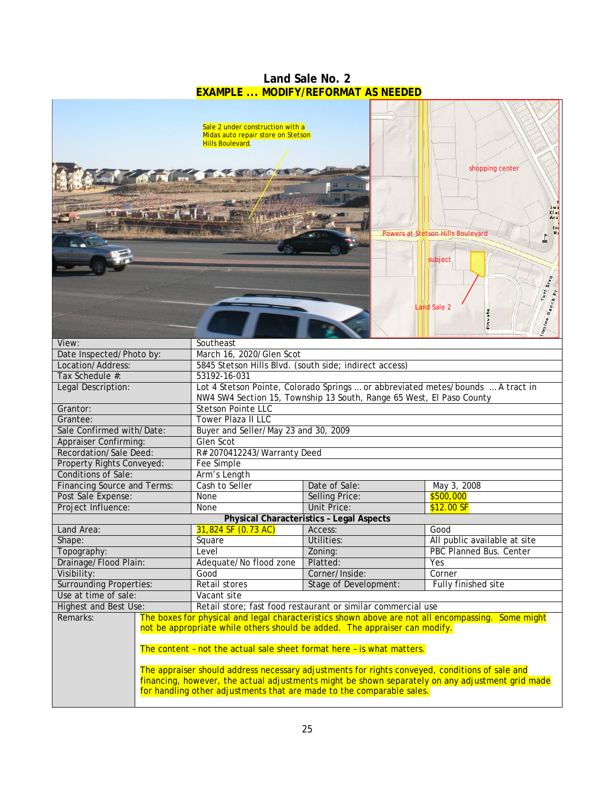<span id="page-29-0"></span>

|                                                                                 |                                                                                                   | <b>EXAMPLE  MODIFY/REFORMAT AS NEEDED</b>                                                                                                                                                                                                                                                                                       |                                                                                                                                                                                                       |  |
|---------------------------------------------------------------------------------|---------------------------------------------------------------------------------------------------|---------------------------------------------------------------------------------------------------------------------------------------------------------------------------------------------------------------------------------------------------------------------------------------------------------------------------------|-------------------------------------------------------------------------------------------------------------------------------------------------------------------------------------------------------|--|
|                                                                                 | Sale 2 under construction with a<br>Midas auto repair store on Stetson<br><b>Hills Boulevard.</b> |                                                                                                                                                                                                                                                                                                                                 | shopping center<br>Ima<br>Clas<br>Aca<br>Powers at Stetson Hills Boulevard<br>I                                                                                                                       |  |
| View:<br>Date Inspected/Photo by:                                               | Southeast<br>March 16, 2020/Glen Scot                                                             |                                                                                                                                                                                                                                                                                                                                 | subject<br>Tutt Blvd<br>Iomino Ranch Pt<br><b>Land Sale 2</b><br>Private                                                                                                                              |  |
| Location/Address:                                                               |                                                                                                   | 5845 Stetson Hills Blvd. (south side; indirect access)                                                                                                                                                                                                                                                                          |                                                                                                                                                                                                       |  |
| Tax Schedule #:                                                                 | 53192-16-031                                                                                      |                                                                                                                                                                                                                                                                                                                                 |                                                                                                                                                                                                       |  |
| Legal Description:                                                              |                                                                                                   | Lot 4 Stetson Pointe, Colorado Springs  or abbreviated metes/bounds  A tract in<br>NW4 SW4 Section 15, Township 13 South, Range 65 West, El Paso County                                                                                                                                                                         |                                                                                                                                                                                                       |  |
| Grantor:                                                                        | <b>Stetson Pointe LLC</b>                                                                         |                                                                                                                                                                                                                                                                                                                                 |                                                                                                                                                                                                       |  |
| Grantee:                                                                        | Tower Plaza II LLC                                                                                |                                                                                                                                                                                                                                                                                                                                 |                                                                                                                                                                                                       |  |
| Sale Confirmed with/Date:                                                       | Buyer and Seller/May 23 and 30, 2009                                                              |                                                                                                                                                                                                                                                                                                                                 |                                                                                                                                                                                                       |  |
| <b>Appraiser Confirming:</b>                                                    | Glen Scot                                                                                         |                                                                                                                                                                                                                                                                                                                                 |                                                                                                                                                                                                       |  |
| Recordation/Sale Deed:                                                          | R# 2070412243/Warranty Deed                                                                       |                                                                                                                                                                                                                                                                                                                                 |                                                                                                                                                                                                       |  |
| Property Rights Conveyed:                                                       | Fee Simple                                                                                        |                                                                                                                                                                                                                                                                                                                                 |                                                                                                                                                                                                       |  |
| <b>Conditions of Sale:</b>                                                      | Arm's Length                                                                                      |                                                                                                                                                                                                                                                                                                                                 |                                                                                                                                                                                                       |  |
| <b>Financing Source and Terms:</b><br>Post Sale Expense:                        | Cash to Seller<br>None                                                                            | Date of Sale:<br><b>Selling Price:</b>                                                                                                                                                                                                                                                                                          | May 3, 2008<br>\$500,000                                                                                                                                                                              |  |
| Project Influence:                                                              | None                                                                                              | <b>Unit Price:</b>                                                                                                                                                                                                                                                                                                              | $$12.00$ SF                                                                                                                                                                                           |  |
|                                                                                 |                                                                                                   | <b>Physical Characteristics - Legal Aspects</b>                                                                                                                                                                                                                                                                                 |                                                                                                                                                                                                       |  |
| Land Area:                                                                      | 31,824 SF (0.73 AC)                                                                               | Access:                                                                                                                                                                                                                                                                                                                         | Good                                                                                                                                                                                                  |  |
| Shape:                                                                          | Square                                                                                            | Utilities:                                                                                                                                                                                                                                                                                                                      | All public available at site                                                                                                                                                                          |  |
| Topography:                                                                     | Level                                                                                             | Zoning:                                                                                                                                                                                                                                                                                                                         | PBC Planned Bus. Center                                                                                                                                                                               |  |
| Drainage/Flood Plain:                                                           | Adequate/No flood zone                                                                            | Platted:                                                                                                                                                                                                                                                                                                                        | Yes                                                                                                                                                                                                   |  |
| Visibility:                                                                     | Good                                                                                              | Corner/Inside:                                                                                                                                                                                                                                                                                                                  | Corner                                                                                                                                                                                                |  |
| <b>Surrounding Properties:</b><br>Retail stores<br><b>Stage of Development:</b> |                                                                                                   | Fully finished site                                                                                                                                                                                                                                                                                                             |                                                                                                                                                                                                       |  |
| Use at time of sale:                                                            | Vacant site                                                                                       |                                                                                                                                                                                                                                                                                                                                 |                                                                                                                                                                                                       |  |
| <b>Highest and Best Use:</b>                                                    |                                                                                                   | Retail store; fast food restaurant or similar commercial use                                                                                                                                                                                                                                                                    |                                                                                                                                                                                                       |  |
| Remarks:                                                                        |                                                                                                   | not be appropriate while others should be added. The appraiser can modify.<br>The content - not the actual sale sheet format here - is what matters.<br>The appraiser should address necessary adjustments for rights conveyed, conditions of sale and<br>for handling other adjustments that are made to the comparable sales. | The boxes for physical and legal characteristics shown above are not all encompassing. Some might<br>financing, however, the actual adjustments might be shown separately on any adjustment grid made |  |

# **Land Sale No. 2**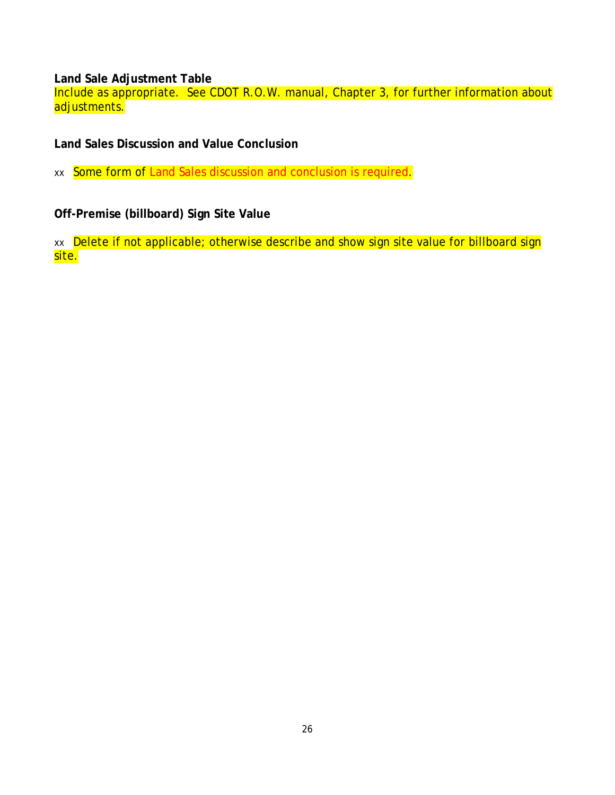<span id="page-30-0"></span>**Land Sale Adjustment Table** 

Include as appropriate. See CDOT R.O.W. manual, Chapter 3, for further information about adjustments.

<span id="page-30-1"></span>**Land Sales Discussion and Value Conclusion** 

xx Some form of Land Sales discussion and conclusion is required.

<span id="page-30-2"></span>**Off-Premise (billboard) Sign Site Value** 

xx Delete if not applicable; otherwise describe and show sign site value for billboard sign site.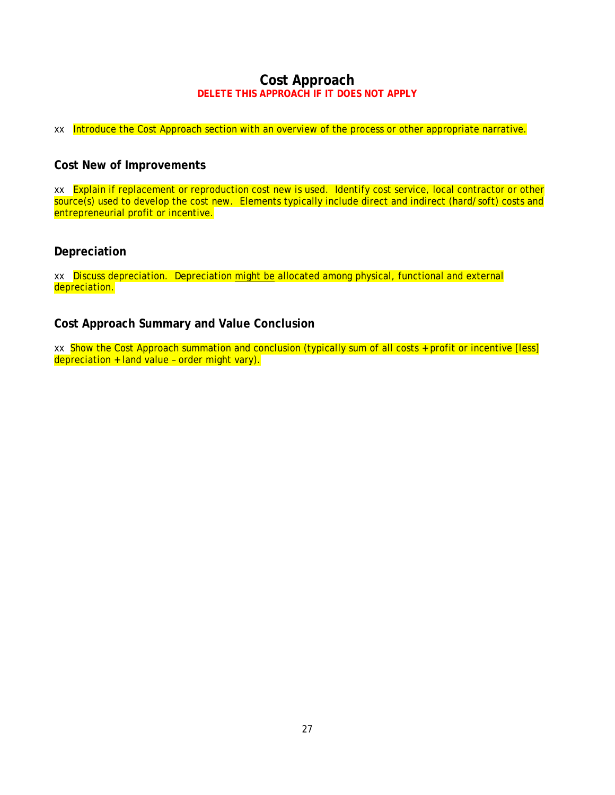## **Cost Approach DELETE THIS APPROACH IF IT DOES NOT APPLY**

<span id="page-31-0"></span>xx Introduce the Cost Approach section with an overview of the process or other appropriate narrative.

### <span id="page-31-1"></span>**Cost New of Improvements**

xx Explain if replacement or reproduction cost new is used. Identify cost service, local contractor or other source(s) used to develop the cost new. Elements typically include direct and indirect (hard/soft) costs and entrepreneurial profit or incentive.

### <span id="page-31-2"></span>**Depreciation**

xx Discuss depreciation. Depreciation might be allocated among physical, functional and external depreciation.

### <span id="page-31-3"></span>**Cost Approach Summary and Value Conclusion**

xx Show the Cost Approach summation and conclusion (typically sum of all costs + profit or incentive [less] depreciation + land value – order might vary).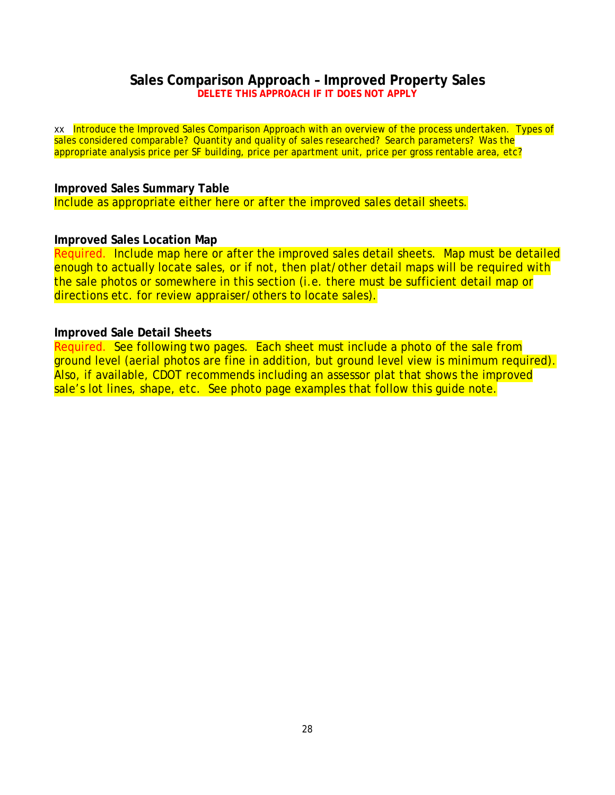### **Sales Comparison Approach – Improved Property Sales DELETE THIS APPROACH IF IT DOES NOT APPLY**

<span id="page-32-0"></span>xx Introduce the Improved Sales Comparison Approach with an overview of the process undertaken. Types of sales considered comparable? Quantity and quality of sales researched? Search parameters? Was the appropriate analysis price per SF building, price per apartment unit, price per gross rentable area, etc?

### <span id="page-32-1"></span>**Improved Sales Summary Table**

Include as appropriate either here or after the improved sales detail sheets.

### <span id="page-32-2"></span>**Improved Sales Location Map**

Required. Include map here or after the improved sales detail sheets. Map must be detailed enough to actually locate sales, or if not, then plat/other detail maps will be required with the sale photos or somewhere in this section (i.e. there must be sufficient detail map or directions etc. for review appraiser/others to locate sales).

## <span id="page-32-3"></span>**Improved Sale Detail Sheets**

Required. See following two pages. Each sheet must include a photo of the sale from ground level (aerial photos are fine in addition, but ground level view is minimum required). Also, if available, CDOT recommends including an assessor plat that shows the improved sale's lot lines, shape, etc. See photo page examples that follow this guide note.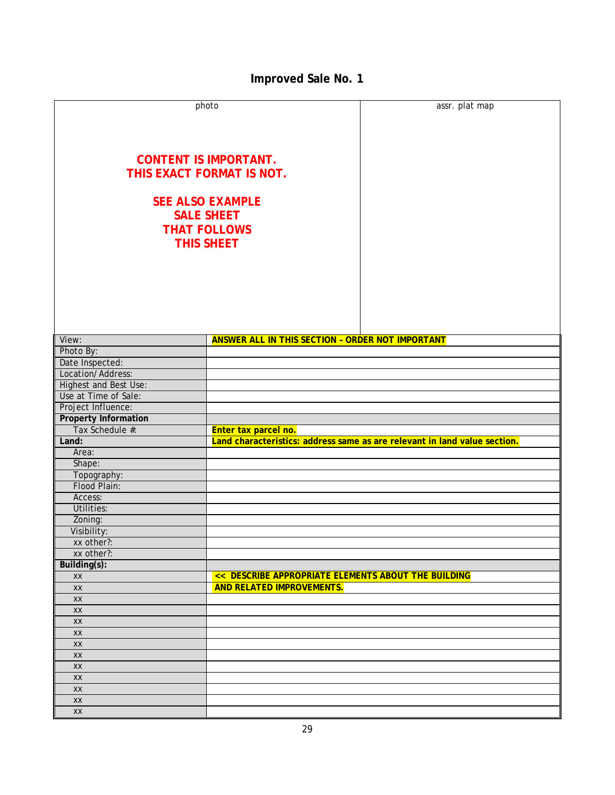# **Improved Sale No. 1**

<span id="page-33-0"></span>

|                             | photo                                                   | assr. plat map                                                            |
|-----------------------------|---------------------------------------------------------|---------------------------------------------------------------------------|
|                             |                                                         |                                                                           |
|                             |                                                         |                                                                           |
|                             |                                                         |                                                                           |
|                             |                                                         |                                                                           |
|                             | <b>CONTENT IS IMPORTANT.</b>                            |                                                                           |
|                             | THIS EXACT FORMAT IS NOT.                               |                                                                           |
|                             |                                                         |                                                                           |
|                             |                                                         |                                                                           |
|                             | <b>SEE ALSO EXAMPLE</b>                                 |                                                                           |
|                             | <b>SALE SHEET</b>                                       |                                                                           |
|                             | <b>THAT FOLLOWS</b>                                     |                                                                           |
|                             | <b>THIS SHEET</b>                                       |                                                                           |
|                             |                                                         |                                                                           |
|                             |                                                         |                                                                           |
|                             |                                                         |                                                                           |
|                             |                                                         |                                                                           |
|                             |                                                         |                                                                           |
|                             |                                                         |                                                                           |
|                             |                                                         |                                                                           |
|                             |                                                         |                                                                           |
| View:                       | <b>ANSWER ALL IN THIS SECTION - ORDER NOT IMPORTANT</b> |                                                                           |
| Photo By:                   |                                                         |                                                                           |
| Date Inspected:             |                                                         |                                                                           |
| Location/Address:           |                                                         |                                                                           |
| Highest and Best Use:       |                                                         |                                                                           |
| Use at Time of Sale:        |                                                         |                                                                           |
| Project Influence:          |                                                         |                                                                           |
| <b>Property Information</b> |                                                         |                                                                           |
| Tax Schedule #:             | Enter tax parcel no.                                    |                                                                           |
| Land:                       |                                                         | Land characteristics: address same as are relevant in land value section. |
| Area:                       |                                                         |                                                                           |
| Shape:                      |                                                         |                                                                           |
| Topography:                 |                                                         |                                                                           |
| Flood Plain:                |                                                         |                                                                           |
| Access:                     |                                                         |                                                                           |
| Utilities:                  |                                                         |                                                                           |
| Zoning:                     |                                                         |                                                                           |
| Visibility:                 |                                                         |                                                                           |
| xx other?:                  |                                                         |                                                                           |
| xx other?:                  |                                                         |                                                                           |
| Building(s):                |                                                         |                                                                           |
| XX                          | << DESCRIBE APPROPRIATE ELEMENTS ABOUT THE BUILDING     |                                                                           |
| XX                          | <b>AND RELATED IMPROVEMENTS.</b>                        |                                                                           |
| $\mathsf{X}\mathsf{X}$      |                                                         |                                                                           |
| XX                          |                                                         |                                                                           |
| XX                          |                                                         |                                                                           |
| $\mathsf{X}\mathsf{X}$      |                                                         |                                                                           |
| XX                          |                                                         |                                                                           |
| XX                          |                                                         |                                                                           |
| XX                          |                                                         |                                                                           |
|                             |                                                         |                                                                           |
| XX<br>XX                    |                                                         |                                                                           |
|                             |                                                         |                                                                           |
| XX                          |                                                         |                                                                           |
| XX                          |                                                         |                                                                           |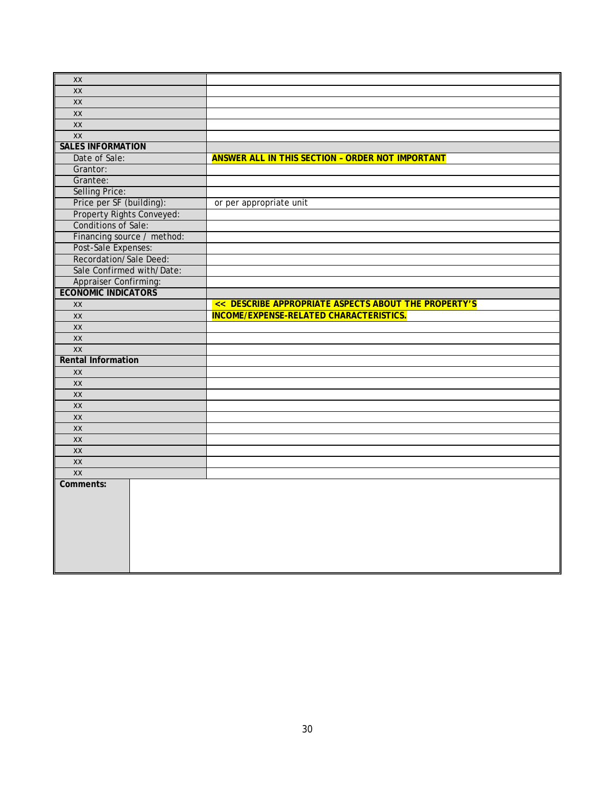| XX                               |                                                         |
|----------------------------------|---------------------------------------------------------|
| <b>XX</b>                        |                                                         |
| $\overline{XX}$                  |                                                         |
| XX                               |                                                         |
| $\mathsf{X} \mathsf{X}$          |                                                         |
| XX                               |                                                         |
| <b>SALES INFORMATION</b>         |                                                         |
| Date of Sale:                    | <b>ANSWER ALL IN THIS SECTION - ORDER NOT IMPORTANT</b> |
| Grantor:                         |                                                         |
| Grantee:                         |                                                         |
| <b>Selling Price:</b>            |                                                         |
| Price per SF (building):         | or per appropriate unit                                 |
| <b>Property Rights Conveyed:</b> |                                                         |
| Conditions of Sale:              |                                                         |
| Financing source / method:       |                                                         |
| Post-Sale Expenses:              |                                                         |
| Recordation/Sale Deed:           |                                                         |
| Sale Confirmed with/Date:        |                                                         |
| Appraiser Confirming:            |                                                         |
| <b>ECONOMIC INDICATORS</b>       |                                                         |
| XX                               | << DESCRIBE APPROPRIATE ASPECTS ABOUT THE PROPERTY'S    |
| XX                               | <b>INCOME/EXPENSE-RELATED CHARACTERISTICS.</b>          |
| XX                               |                                                         |
| XX                               |                                                         |
| <b>XX</b>                        |                                                         |
| <b>Rental Information</b>        |                                                         |
| <b>XX</b>                        |                                                         |
| XX                               |                                                         |
| XX                               |                                                         |
| XX                               |                                                         |
| XX                               |                                                         |
| XX                               |                                                         |
| XX                               |                                                         |
| XX                               |                                                         |
| XX                               |                                                         |
| <b>XX</b>                        |                                                         |
| Comments:                        |                                                         |
|                                  |                                                         |
|                                  |                                                         |
|                                  |                                                         |
|                                  |                                                         |
|                                  |                                                         |
|                                  |                                                         |
|                                  |                                                         |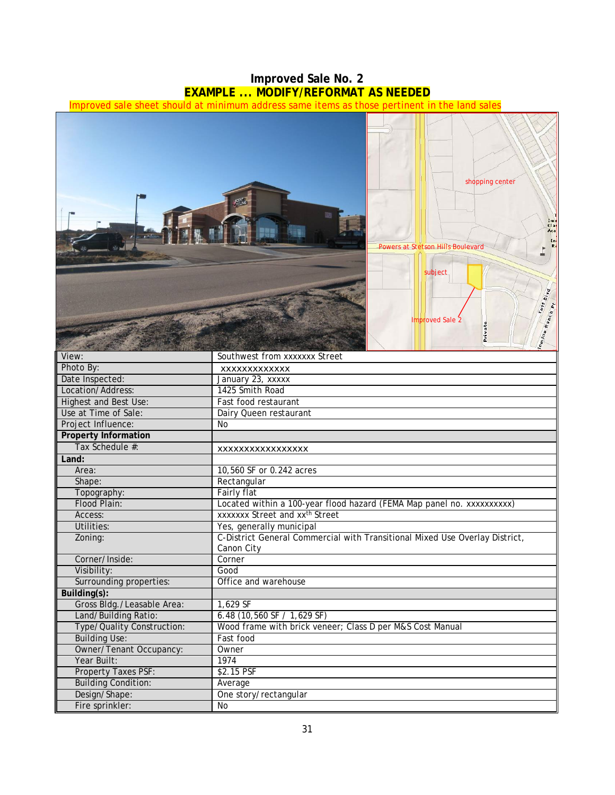## **Improved Sale No. 2 EXAMPLE ... MODIFY/REFORMAT AS NEEDED**

<span id="page-35-0"></span>Improved sale sheet should at minimum address same items as those pertinent in the land sales



| ΓΙΙΟΊΟ Dy.                  | xxxxxxxxxxxxx                                                               |
|-----------------------------|-----------------------------------------------------------------------------|
| Date Inspected:             | January 23, xxxxx                                                           |
| Location/Address:           | 1425 Smith Road                                                             |
| Highest and Best Use:       | Fast food restaurant                                                        |
| Use at Time of Sale:        | Dairy Queen restaurant                                                      |
| Project Influence:          | No                                                                          |
| <b>Property Information</b> |                                                                             |
| Tax Schedule #:             | XXXXXXXXXXXXXXXXX                                                           |
| Land:                       |                                                                             |
| Area:                       | 10,560 SF or 0.242 acres                                                    |
| Shape:                      | Rectangular                                                                 |
| Topography:                 | Fairly flat                                                                 |
| Flood Plain:                | Located within a 100-year flood hazard (FEMA Map panel no. xxxxxxxxxx)      |
| Access:                     | xxxxxxx Street and xx <sup>th</sup> Street                                  |
| Utilities:                  | Yes, generally municipal                                                    |
| Zoning:                     | C-District General Commercial with Transitional Mixed Use Overlay District, |
|                             | Canon City                                                                  |
| Corner/Inside:              | Corner                                                                      |
| Visibility:                 | Good                                                                        |
| Surrounding properties:     | Office and warehouse                                                        |
| Building(s):                |                                                                             |
| Gross Bldg./Leasable Area:  | 1,629 SF                                                                    |
| Land/Building Ratio:        | 6.48 (10,560 SF / 1,629 SF)                                                 |
| Type/Quality Construction:  | Wood frame with brick veneer; Class D per M&S Cost Manual                   |
| <b>Building Use:</b>        | Fast food                                                                   |
| Owner/Tenant Occupancy:     | Owner                                                                       |
| Year Built:                 | 1974                                                                        |
| <b>Property Taxes PSF:</b>  | \$2.15 PSF                                                                  |
| <b>Building Condition:</b>  | Average                                                                     |
| Design/Shape:               | One story/rectangular                                                       |
| Fire sprinkler:             | <b>No</b>                                                                   |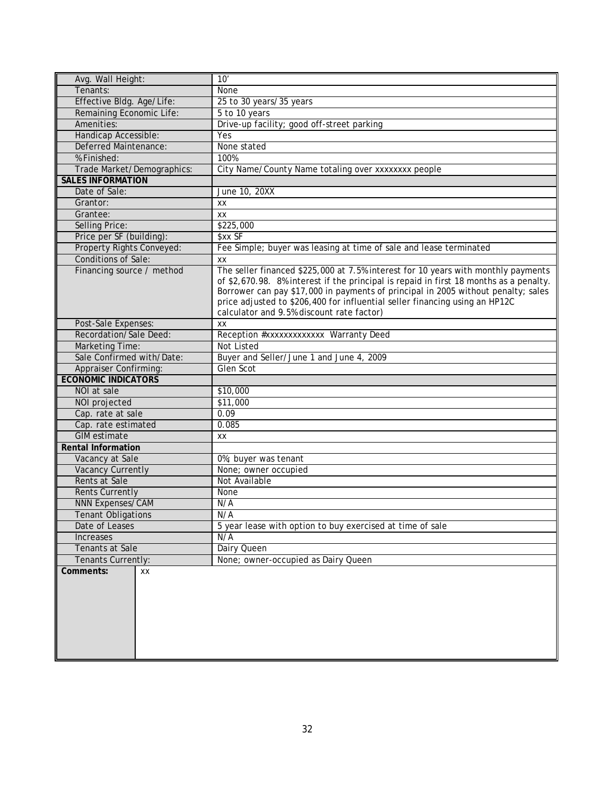| Avg. Wall Height:            | 10'                                                                                    |
|------------------------------|----------------------------------------------------------------------------------------|
| Tenants:                     | None                                                                                   |
| Effective Bldg. Age/Life:    | 25 to 30 years/35 years                                                                |
| Remaining Economic Life:     | 5 to 10 years                                                                          |
| Amenities:                   | Drive-up facility; good off-street parking                                             |
| Handicap Accessible:         | Yes                                                                                    |
| Deferred Maintenance:        | None stated                                                                            |
| % Finished:                  | 100%                                                                                   |
| Trade Market/Demographics:   | City Name/County Name totaling over xxxxxxxx people                                    |
| <b>SALES INFORMATION</b>     |                                                                                        |
| Date of Sale:                | June 10, 20XX                                                                          |
| Grantor:                     | XX                                                                                     |
| Grantee:                     | XX                                                                                     |
| Selling Price:               | \$225,000                                                                              |
| Price per SF (building):     | \$xx SF                                                                                |
| Property Rights Conveyed:    | Fee Simple; buyer was leasing at time of sale and lease terminated                     |
| <b>Conditions of Sale:</b>   | XX                                                                                     |
| Financing source / method    | The seller financed \$225,000 at 7.5% interest for 10 years with monthly payments      |
|                              | of \$2,670.98. 8% interest if the principal is repaid in first 18 months as a penalty. |
|                              | Borrower can pay \$17,000 in payments of principal in 2005 without penalty; sales      |
|                              | price adjusted to \$206,400 for influential seller financing using an HP12C            |
|                              | calculator and 9.5% discount rate factor)                                              |
| Post-Sale Expenses:          | XX                                                                                     |
| Recordation/Sale Deed:       | Reception #xxxxxxxxxxxxx Warranty Deed                                                 |
| <b>Marketing Time:</b>       | <b>Not Listed</b>                                                                      |
| Sale Confirmed with/Date:    | Buyer and Seller/June 1 and June 4, 2009                                               |
| <b>Appraiser Confirming:</b> | Glen Scot                                                                              |
| <b>ECONOMIC INDICATORS</b>   |                                                                                        |
| NOI at sale                  | \$10,000                                                                               |
| NOI projected                | \$11,000                                                                               |
| Cap. rate at sale            | 0.09                                                                                   |
| Cap. rate estimated          | 0.085                                                                                  |
| <b>GIM</b> estimate          | ХX                                                                                     |
| <b>Rental Information</b>    |                                                                                        |
| Vacancy at Sale              | 0%; buyer was tenant                                                                   |
| <b>Vacancy Currently</b>     | None; owner occupied                                                                   |
| Rents at Sale                | Not Available                                                                          |
| <b>Rents Currently</b>       | <b>None</b>                                                                            |
| <b>NNN Expenses/CAM</b>      | N/A                                                                                    |
| <b>Tenant Obligations</b>    | N/A                                                                                    |
| Date of Leases               | 5 year lease with option to buy exercised at time of sale                              |
| <b>Increases</b>             | N/A                                                                                    |
| Tenants at Sale              | Dairy Queen                                                                            |
| Tenants Currently:           | None; owner-occupied as Dairy Queen                                                    |
| Comments:<br>XХ              |                                                                                        |
|                              |                                                                                        |
|                              |                                                                                        |
|                              |                                                                                        |
|                              |                                                                                        |
|                              |                                                                                        |
|                              |                                                                                        |
|                              |                                                                                        |
|                              |                                                                                        |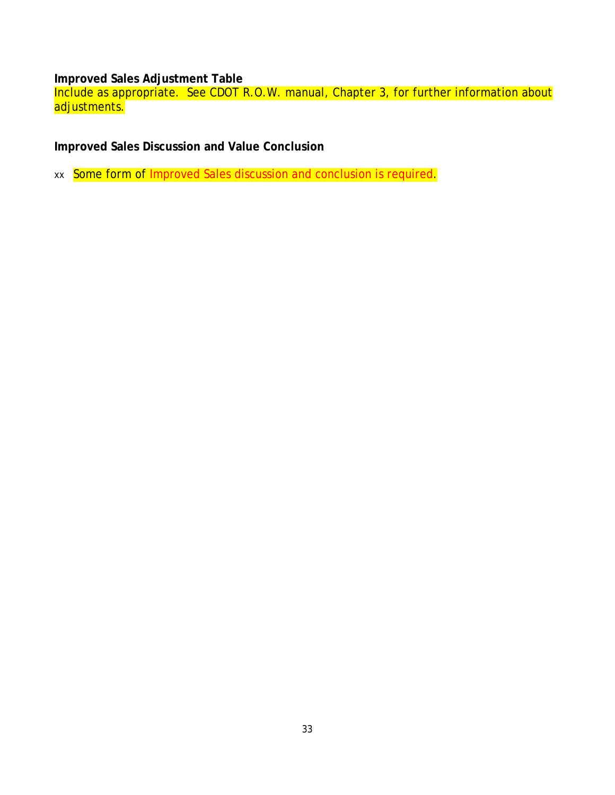<span id="page-37-0"></span>**Improved Sales Adjustment Table** 

Include as appropriate. See CDOT R.O.W. manual, Chapter 3, for further information about adjustments.

<span id="page-37-1"></span>**Improved Sales Discussion and Value Conclusion** 

xx Some form of Improved Sales discussion and conclusion is required.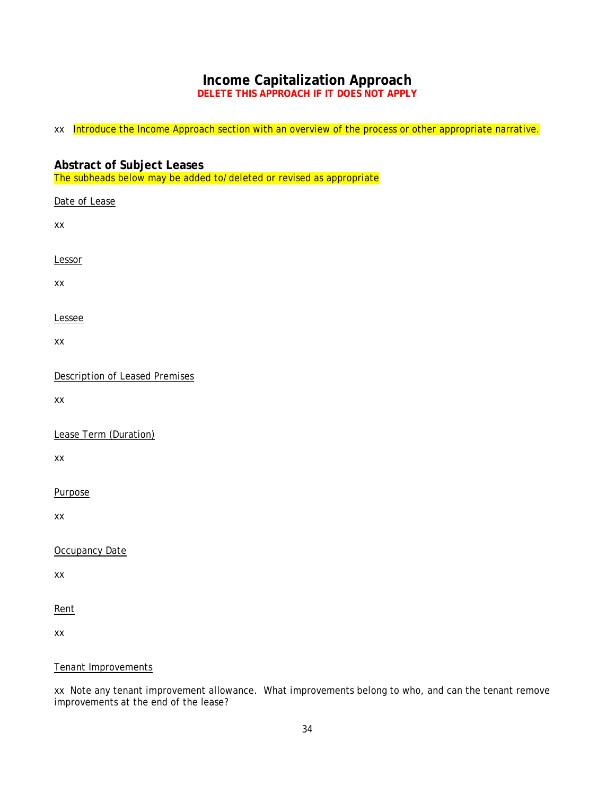# **Income Capitalization Approach**

**DELETE THIS APPROACH IF IT DOES NOT APPLY**

<span id="page-38-0"></span>xx Introduce the Income Approach section with an overview of the process or other appropriate narrative.

### <span id="page-38-1"></span>**Abstract of Subject Leases** The subheads below may be added to/deleted or revised as appropriate

| Date of Lease                         |
|---------------------------------------|
| XX                                    |
| Lessor                                |
| XX                                    |
| Lessee                                |
| XX                                    |
| <b>Description of Leased Premises</b> |
| XX                                    |
| Lease Term (Duration)                 |
| XX                                    |
| Purpose                               |
| XX                                    |
| Occupancy Date                        |
| XX                                    |

Rent

xx

### Tenant Improvements

xx Note any tenant improvement allowance. What improvements belong to who, and can the tenant remove improvements at the end of the lease?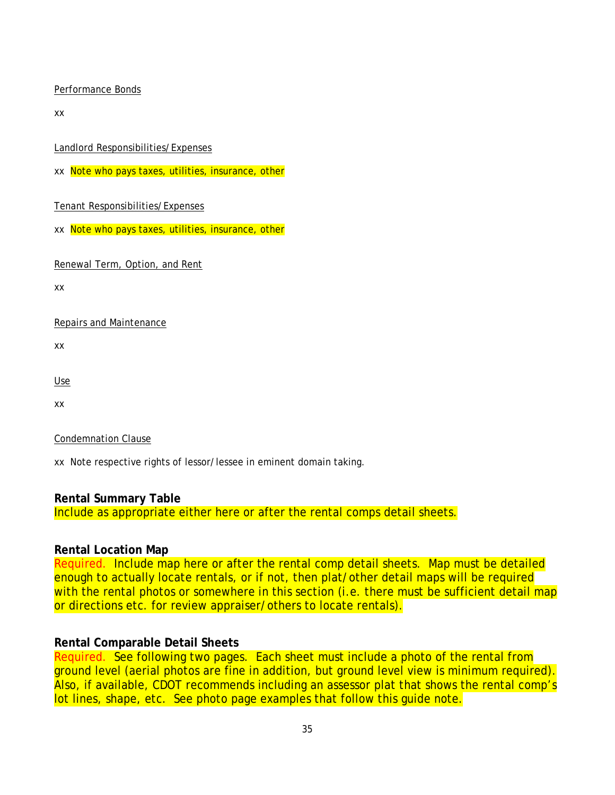#### Performance Bonds

xx

Landlord Responsibilities/Expenses

xx Note who pays taxes, utilities, insurance, other

### Tenant Responsibilities/Expenses

xx Note who pays taxes, utilities, insurance, other

Renewal Term, Option, and Rent

xx

### Repairs and Maintenance

xx

Use

xx

### Condemnation Clause

xx Note respective rights of lessor/lessee in eminent domain taking.

### <span id="page-39-0"></span>**Rental Summary Table**

Include as appropriate either here or after the rental comps detail sheets.

### <span id="page-39-1"></span>**Rental Location Map**

Required. Include map here or after the rental comp detail sheets. Map must be detailed enough to actually locate rentals, or if not, then plat/other detail maps will be required with the rental photos or somewhere in this section (i.e. there must be sufficient detail map or directions etc. for review appraiser/others to locate rentals).

### <span id="page-39-2"></span>**Rental Comparable Detail Sheets**

Required. See following two pages. Each sheet must include a photo of the rental from ground level (aerial photos are fine in addition, but ground level view is minimum required). Also, if available, CDOT recommends including an assessor plat that shows the rental comp's lot lines, shape, etc. See photo page examples that follow this guide note.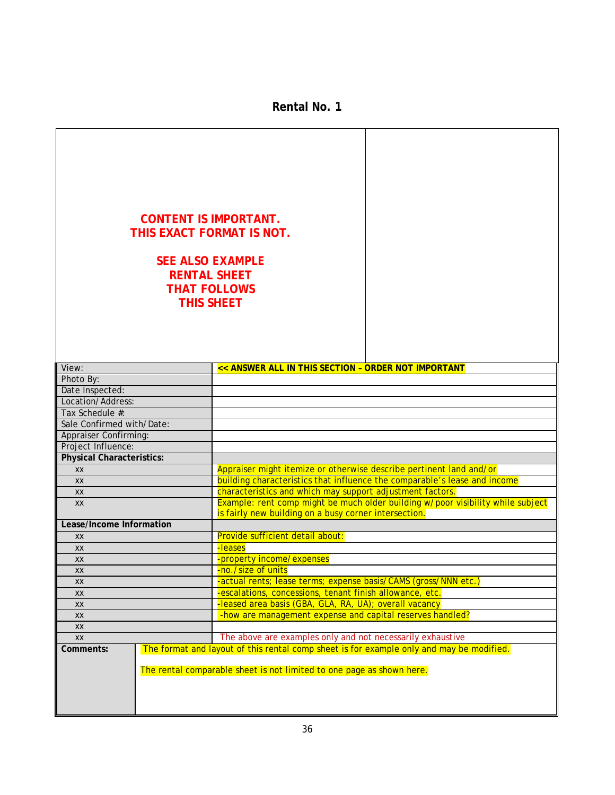**Rental No. 1**

<span id="page-40-0"></span>

| <b>CONTENT IS IMPORTANT.</b><br>THIS EXACT FORMAT IS NOT.<br><b>SEE ALSO EXAMPLE</b><br><b>RENTAL SHEET</b><br><b>THAT FOLLOWS</b><br><b>THIS SHEET</b> |  |                                                                                                                                                                   |  |  |  |
|---------------------------------------------------------------------------------------------------------------------------------------------------------|--|-------------------------------------------------------------------------------------------------------------------------------------------------------------------|--|--|--|
| View:                                                                                                                                                   |  | << ANSWER ALL IN THIS SECTION - ORDER NOT IMPORTANT                                                                                                               |  |  |  |
| Photo By:                                                                                                                                               |  |                                                                                                                                                                   |  |  |  |
| Date Inspected:                                                                                                                                         |  |                                                                                                                                                                   |  |  |  |
| Location/Address:                                                                                                                                       |  |                                                                                                                                                                   |  |  |  |
| Tax Schedule #:                                                                                                                                         |  |                                                                                                                                                                   |  |  |  |
| Sale Confirmed with/Date:                                                                                                                               |  |                                                                                                                                                                   |  |  |  |
| Appraiser Confirming:                                                                                                                                   |  |                                                                                                                                                                   |  |  |  |
| Project Influence:                                                                                                                                      |  |                                                                                                                                                                   |  |  |  |
| <b>Physical Characteristics:</b>                                                                                                                        |  |                                                                                                                                                                   |  |  |  |
| <b>XX</b>                                                                                                                                               |  | Appraiser might itemize or otherwise describe pertinent land and/or                                                                                               |  |  |  |
| XX                                                                                                                                                      |  | building characteristics that influence the comparable's lease and income                                                                                         |  |  |  |
| XX                                                                                                                                                      |  | characteristics and which may support adjustment factors.                                                                                                         |  |  |  |
| <b>XX</b>                                                                                                                                               |  | Example: rent comp might be much older building w/poor visibility while subject<br>is fairly new building on a busy corner intersection.                          |  |  |  |
| Lease/Income Information                                                                                                                                |  |                                                                                                                                                                   |  |  |  |
| <b>XX</b>                                                                                                                                               |  | Provide sufficient detail about:                                                                                                                                  |  |  |  |
| XX                                                                                                                                                      |  | -leases                                                                                                                                                           |  |  |  |
| XX                                                                                                                                                      |  | -property income/expenses                                                                                                                                         |  |  |  |
| XX                                                                                                                                                      |  | -no./size of units                                                                                                                                                |  |  |  |
| XX                                                                                                                                                      |  | -actual rents; lease terms; expense basis/CAMS (gross/NNN etc.)                                                                                                   |  |  |  |
| XX                                                                                                                                                      |  | -escalations, concessions, tenant finish allowance, etc.                                                                                                          |  |  |  |
| XX                                                                                                                                                      |  | -leased area basis (GBA, GLA, RA, UA); overall vacancy                                                                                                            |  |  |  |
| XX                                                                                                                                                      |  | -how are management expense and capital reserves handled?                                                                                                         |  |  |  |
| XX                                                                                                                                                      |  |                                                                                                                                                                   |  |  |  |
| XX                                                                                                                                                      |  | The above are examples only and not necessarily exhaustive                                                                                                        |  |  |  |
| Comments:                                                                                                                                               |  | The format and layout of this rental comp sheet is for example only and may be modified.<br>The rental comparable sheet is not limited to one page as shown here. |  |  |  |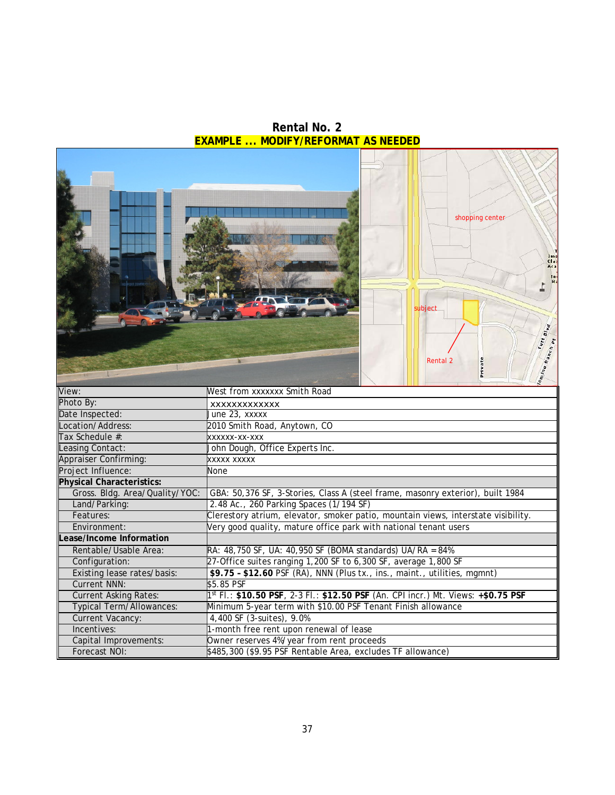<span id="page-41-0"></span>shopping center subject Jutt Blue o Ranch pt Rental 2**Jrivate**  $\overline{u_{u}}_{u_{0}}$ View: West from xxxxxxx Smith Road Photo By: xxxxxxxxxxxxx Date Inspected: Location/Address: 2010 Smith Road, Anytown, CO Tax Schedule #: xxxxxx-xx-xxx Leasing Contact: John Dough, Office Experts Inc. Appraiser Confirming: Project Influence: None **Physical Characteristics:** GBA: 50,376 SF, 3-Stories, Class A (steel frame, masonry exterior), built 1984 Land/Parking: 2.48 Ac., 260 Parking Spaces (1/194 SF) Features: Clerestory atrium, elevator, smoker patio, mountain views, interstate visibility.<br>
Environment: Very good quality, mature office park with national tenant users Very good quality, mature office park with national tenant users **Lease/Income Information** Rentable/Usable Area: RA: 48,750 SF, UA: 40,950 SF (BOMA standards) UA/RA = 84% Configuration: 27-Office suites ranging 1,200 SF to 6,300 SF, average 1,800 SF<br>Existing lease rates/basis: \$9.75 - \$12.60 PSF (RA), NNN (Plus tx., ins., maint., utilities. \$9.75 - \$12.60 PSF (RA), NNN (Plus tx., ins., maint., utilities, mgmnt) Current NNN: \$5.85 PSF Current Asking Rates: 1st Fl.: **\$10.50 PSF**, 2-3 Fl.: **\$12.50 PSF** (An. CPI incr.) Mt. Views: **+\$0.75 PSF** Typical Term/Allowances: Minimum 5-year term with \$10.00 PSF Tenant Finish allowance Current Vacancy: 4,400 SF (3-suites), 9.0% Incentives: 1-month free rent upon renewal of lease<br>Capital Improvements: 0wner reserves 4%/year from rent procee Capital Improvements: Owner reserves 4%/year from rent proceeds<br>Forecast NOI: \$485,300 (\$9.95 PSF Rentable Area, exclude \$485,300 (\$9.95 PSF Rentable Area, excludes TF allowance)

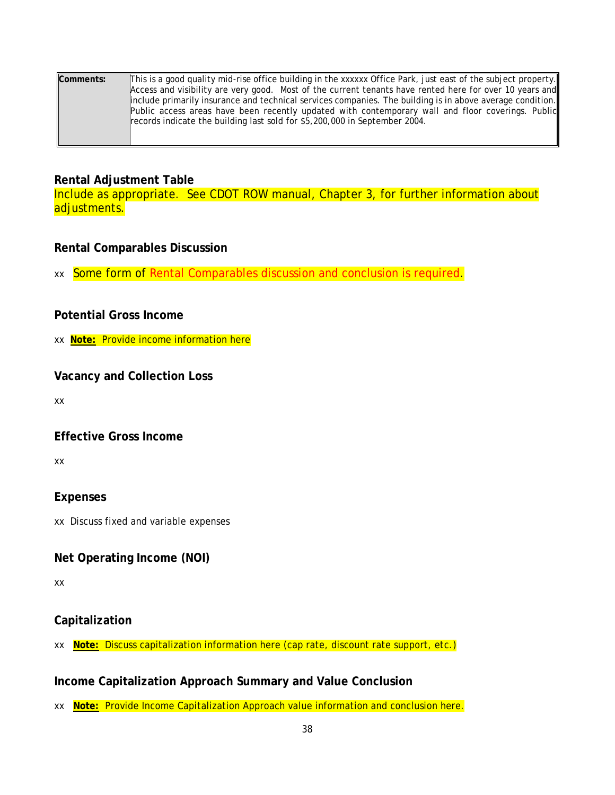| Comments: | This is a good quality mid-rise office building in the xxxxxx Office Park, just east of the subject property. |
|-----------|---------------------------------------------------------------------------------------------------------------|
|           | Access and visibility are very good. Most of the current tenants have rented here for over 10 years and       |
|           | linclude primarily insurance and technical services companies. The building is in above average condition.    |
|           | Public access areas have been recently updated with contemporary wall and floor coverings. Public             |
|           | records indicate the building last sold for \$5,200,000 in September 2004.                                    |
|           |                                                                                                               |
|           |                                                                                                               |

### <span id="page-42-0"></span>**Rental Adjustment Table**

Include as appropriate. See CDOT ROW manual, Chapter 3, for further information about adjustments.

### <span id="page-42-1"></span>**Rental Comparables Discussion**

xx Some form of Rental Comparables discussion and conclusion is required.

## <span id="page-42-2"></span>**Potential Gross Income**

xx **Note:** Provide income information here

### <span id="page-42-3"></span>**Vacancy and Collection Loss**

xx

## <span id="page-42-4"></span>**Effective Gross Income**

xx

## <span id="page-42-5"></span>**Expenses**

xx Discuss fixed and variable expenses

## <span id="page-42-6"></span>**Net Operating Income (NOI)**

xx

## <span id="page-42-7"></span>**Capitalization**

xx **Note:** Discuss capitalization information here (cap rate, discount rate support, etc.)

## <span id="page-42-8"></span>**Income Capitalization Approach Summary and Value Conclusion**

xx **Note:** Provide Income Capitalization Approach value information and conclusion here.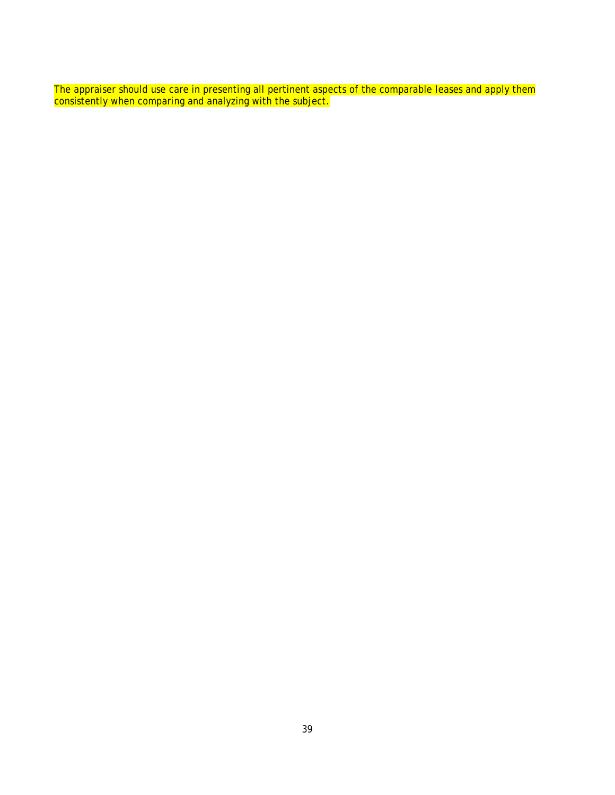The appraiser should use care in presenting all pertinent aspects of the comparable leases and apply them consistently when comparing and analyzing with the subject.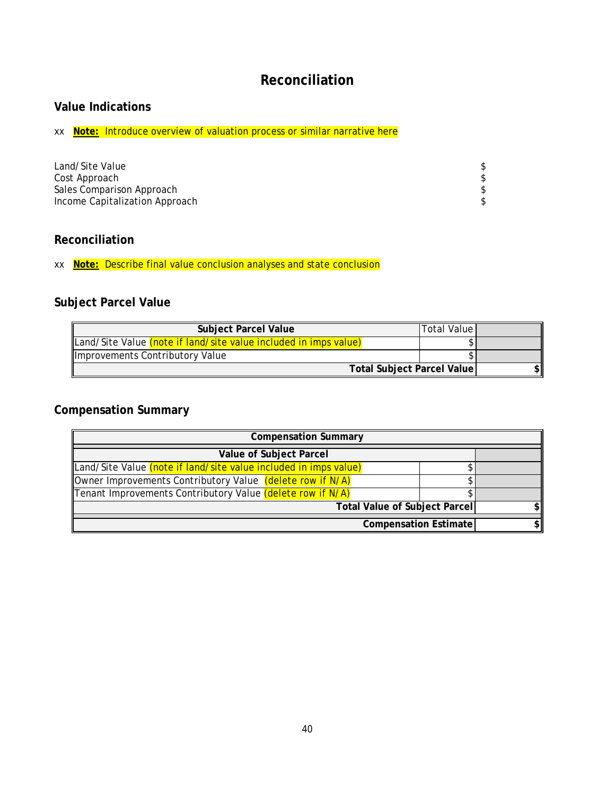# **Reconciliation**

## <span id="page-44-1"></span><span id="page-44-0"></span>**Value Indications**

xx **Note:** Introduce overview of valuation process or similar narrative here

| Land/Site Value                |  |
|--------------------------------|--|
| Cost Approach                  |  |
| Sales Comparison Approach      |  |
| Income Capitalization Approach |  |

## <span id="page-44-2"></span>**Reconciliation**

xx **Note:** Describe final value conclusion analyses and state conclusion

# <span id="page-44-3"></span>**Subject Parcel Value**

| <b>Subject Parcel Value</b>                                      | Total Value |  |
|------------------------------------------------------------------|-------------|--|
| Land/Site Value (note if land/site value included in imps value) |             |  |
| Improvements Contributory Value                                  |             |  |
| <b>Total Subject Parcel Value</b>                                |             |  |

## <span id="page-44-4"></span>**Compensation Summary**

| <b>Compensation Summary</b>                                      |  |  |  |
|------------------------------------------------------------------|--|--|--|
| Value of Subject Parcel                                          |  |  |  |
| Land/Site Value (note if land/site value included in imps value) |  |  |  |
| Owner Improvements Contributory Value (delete row if N/A)        |  |  |  |
| Tenant Improvements Contributory Value (delete row if N/A)       |  |  |  |
| <b>Total Value of Subject Parcel</b>                             |  |  |  |
| <b>Compensation Estimate</b>                                     |  |  |  |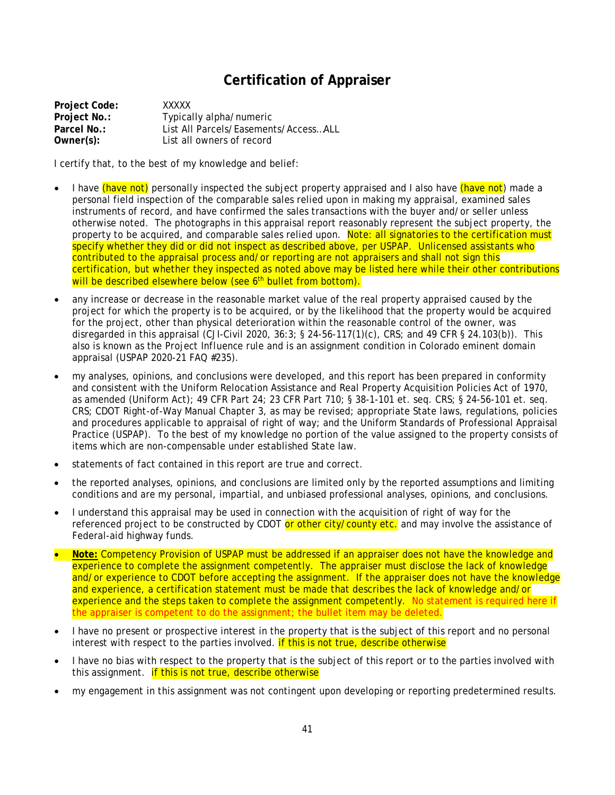## **Certification of Appraiser**

<span id="page-45-0"></span>**Project Code:** XXXXX **Project No.:** Typically alpha/numeric<br> **Parcel No.:** List All Parcels/Easemen **Parcel No.:** List All Parcels/Easements/Access…ALL **Owner(s):** List all owners of record

I certify that, to the best of my knowledge and belief:

- I have (have not) personally inspected the subject property appraised and I also have (have not) made a personal field inspection of the comparable sales relied upon in making my appraisal, examined sales instruments of record, and have confirmed the sales transactions with the buyer and/or seller unless otherwise noted. The photographs in this appraisal report reasonably represent the subject property, the property to be acquired, and comparable sales relied upon. Note: all signatories to the certification must specify whether they did or did not inspect as described above, per USPAP. Unlicensed assistants who contributed to the appraisal process and/or reporting are not appraisers and shall not sign this certification, but whether they inspected as noted above may be listed here while their other contributions will be described elsewhere below (see 6<sup>th</sup> bullet from bottom).
- any increase or decrease in the reasonable market value of the real property appraised caused by the project for which the property is to be acquired, or by the likelihood that the property would be acquired for the project, other than physical deterioration within the reasonable control of the owner, was disregarded in this appraisal (CJI-Civil 2020, 36:3; § 24-56-117(1)(c), CRS; and 49 CFR § 24.103(b)). This also is known as the *Project Influence* rule and is an assignment condition in Colorado eminent domain appraisal (USPAP 2020-21 FAQ #235).
- my analyses, opinions, and conclusions were developed, and this report has been prepared in conformity and consistent with the Uniform Relocation Assistance and Real Property Acquisition Policies Act of 1970, as amended (Uniform Act); 49 CFR Part 24; 23 CFR Part 710; § 38-1-101 et. seq. CRS; § 24-56-101 et. seq. CRS; CDOT Right-of-Way Manual Chapter 3, as may be revised; appropriate State laws, regulations, policies and procedures applicable to appraisal of right of way; and the Uniform Standards of Professional Appraisal Practice (USPAP). To the best of my knowledge no portion of the value assigned to the property consists of items which are non-compensable under established State law.
- statements of fact contained in this report are true and correct.
- the reported analyses, opinions, and conclusions are limited only by the reported assumptions and limiting conditions and are my personal, impartial, and unbiased professional analyses, opinions, and conclusions.
- I understand this appraisal may be used in connection with the acquisition of right of way for the referenced project to be constructed by CDOT or other city/county etc. and may involve the assistance of Federal-aid highway funds.
- **Note:** Competency Provision of USPAP must be addressed if an appraiser does not have the knowledge and experience to complete the assignment competently. The appraiser must disclose the lack of knowledge and/or experience to CDOT before accepting the assignment. If the appraiser does not have the knowledge and experience, a certification statement must be made that describes the lack of knowledge and/or experience and the steps taken to complete the assignment competently. No statement is required here if the appraiser is competent to do the assignment; the bullet item may be deleted.
- I have no present or prospective interest in the property that is the subject of this report and no personal interest with respect to the parties involved. **if this is not true, describe otherwise**
- I have no bias with respect to the property that is the subject of this report or to the parties involved with this assignment. **if this is not true, describe otherwise**
- my engagement in this assignment was not contingent upon developing or reporting predetermined results.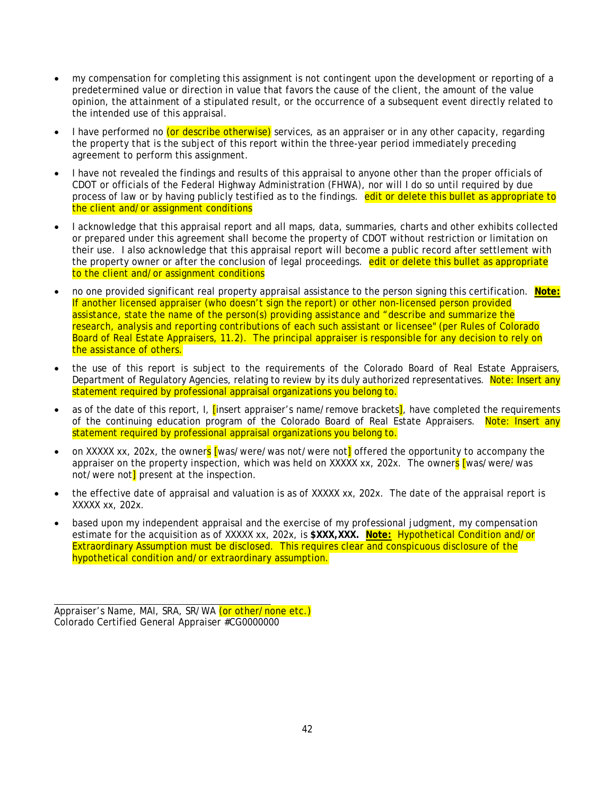- my compensation for completing this assignment is not contingent upon the development or reporting of a predetermined value or direction in value that favors the cause of the client, the amount of the value opinion, the attainment of a stipulated result, or the occurrence of a subsequent event directly related to the intended use of this appraisal.
- I have performed no (or describe otherwise) services, as an appraiser or in any other capacity, regarding the property that is the subject of this report within the three-year period immediately preceding agreement to perform this assignment.
- I have not revealed the findings and results of this appraisal to anyone other than the proper officials of CDOT or officials of the Federal Highway Administration (FHWA), nor will I do so until required by due process of law or by having publicly testified as to the findings. edit or delete this bullet as appropriate to the client and/or assignment conditions
- I acknowledge that this appraisal report and all maps, data, summaries, charts and other exhibits collected or prepared under this agreement shall become the property of CDOT without restriction or limitation on their use. I also acknowledge that this appraisal report will become a public record after settlement with the property owner or after the conclusion of legal proceedings. edit or delete this bullet as appropriate to the client and/or assignment conditions
- no one provided significant real property appraisal assistance to the person signing this certification. **Note:** If another licensed appraiser (who doesn't sign the report) or other non-licensed person provided assistance, state the name of the person(s) providing assistance and "describe and summarize the research, analysis and reporting contributions of each such assistant or licensee" (per Rules of Colorado Board of Real Estate Appraisers, 11.2). The principal appraiser is responsible for any decision to rely on the assistance of others.
- the use of this report is subject to the requirements of the Colorado Board of Real Estate Appraisers, Department of Regulatory Agencies, relating to review by its duly authorized representatives. Note: Insert any statement required by professional appraisal organizations you belong to.
- as of the date of this report, I, *[insert appraiser's name/remove brackets*], have completed the requirements of the continuing education program of the Colorado Board of Real Estate Appraisers. Note: Insert any statement required by professional appraisal organizations you belong to.
- on XXXXX xx, 202x, the owners [was/were/was not/were not] offered the opportunity to accompany the appraiser on the property inspection, which was held on XXXXX xx, 202x. The owners [was/were/was not/were not<sup>1</sup> present at the inspection.
- the effective date of appraisal and valuation is as of XXXXX xx, 202x. The date of the appraisal report is XXXXX xx, 202x.
- based upon my independent appraisal and the exercise of my professional judgment, my compensation estimate for the acquisition as of XXXXX xx, 202x, is **\$XXX,XXX. Note:** Hypothetical Condition and/or Extraordinary Assumption must be disclosed. This requires clear and conspicuous disclosure of the hypothetical condition and/or extraordinary assumption.

Appraiser's Name, MAI, SRA, SR/WA (or other/none etc.) Colorado Certified General Appraiser #CG0000000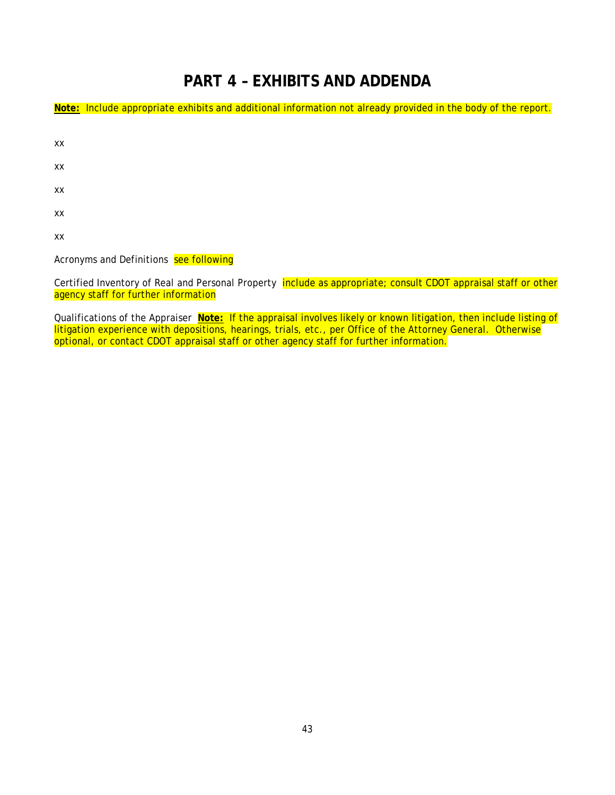# **PART 4 – EXHIBITS AND ADDENDA**

<span id="page-47-0"></span>**Note:** Include appropriate exhibits and additional information not already provided in the body of the report.

| XХ |  |  |  |
|----|--|--|--|
| XХ |  |  |  |
| XX |  |  |  |
| XX |  |  |  |
| XX |  |  |  |
|    |  |  |  |

Acronyms and Definitions see following

Certified Inventory of Real and Personal Property include as appropriate; consult CDOT appraisal staff or other agency staff for further information

Qualifications of the Appraiser **Note:** If the appraisal involves likely or known litigation, then include listing of litigation experience with depositions, hearings, trials, etc., per Office of the Attorney General. Otherwise optional, or contact CDOT appraisal staff or other agency staff for further information.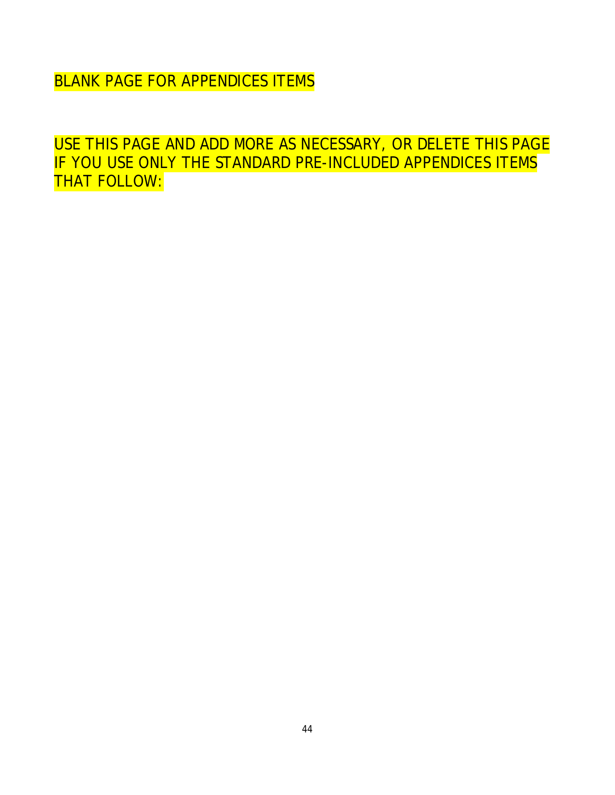BLANK PAGE FOR APPENDICES ITEMS

USE THIS PAGE AND ADD MORE AS NECESSARY, OR DELETE THIS PAGE IF YOU USE ONLY THE STANDARD PRE-INCLUDED APPENDICES ITEMS THAT FOLLOW: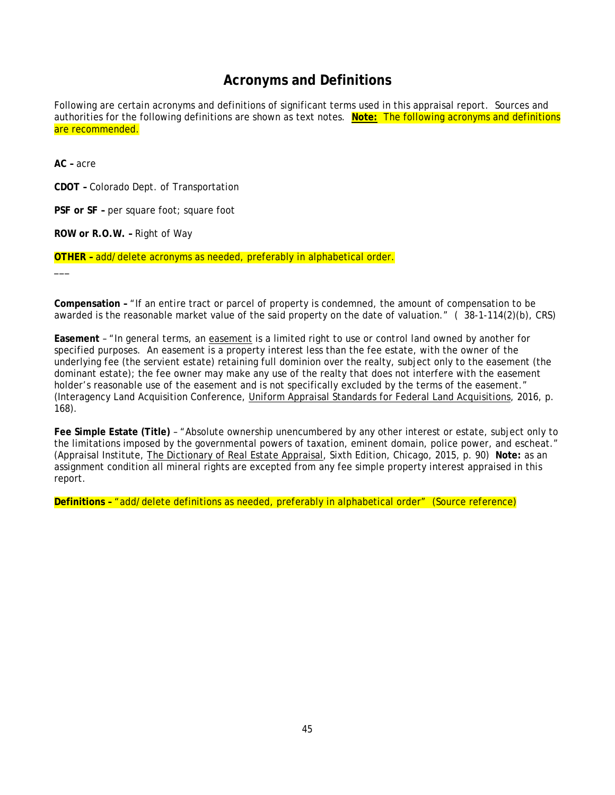## **Acronyms and Definitions**

<span id="page-49-0"></span>Following are certain acronyms and definitions of significant terms used in this appraisal report. Sources and authorities for the following definitions are shown as text notes. **Note:** The following acronyms and definitions are recommended.

**AC –** acre

\_\_\_

**CDOT –** Colorado Dept. of Transportation

**PSF or SF –** per square foot; square foot

**ROW or R.O.W. –** Right of Way

**OTHER –** add/delete acronyms as needed, preferably in alphabetical order.

**Compensation –** "If an entire tract or parcel of property is condemned, the amount of compensation to be awarded is the reasonable market value of the said property on the date of valuation." ( 38-1-114(2)(b), CRS)

**Easement** – "In general terms, an easement is a limited right to use or control land owned by another for specified purposes. An easement is a property interest less than the fee estate, with the owner of the underlying fee (the servient estate) retaining full dominion over the realty, subject only to the easement (the dominant estate); the fee owner may make any use of the realty that does not interfere with the easement holder's reasonable use of the easement and is not specifically excluded by the terms of the easement." (Interagency Land Acquisition Conference, Uniform Appraisal Standards for Federal Land Acquisitions, 2016, p. 168).

**Fee Simple Estate (Title)** – "Absolute ownership unencumbered by any other interest or estate, subject only to the limitations imposed by the governmental powers of taxation, eminent domain, police power, and escheat." (Appraisal Institute, The Dictionary of Real Estate Appraisal, Sixth Edition, Chicago, 2015, p. 90) **Note:** as an assignment condition all mineral rights are excepted from any fee simple property interest appraised in this report.

**Definitions –** "add/delete definitions as needed, preferably in alphabetical order" (Source reference)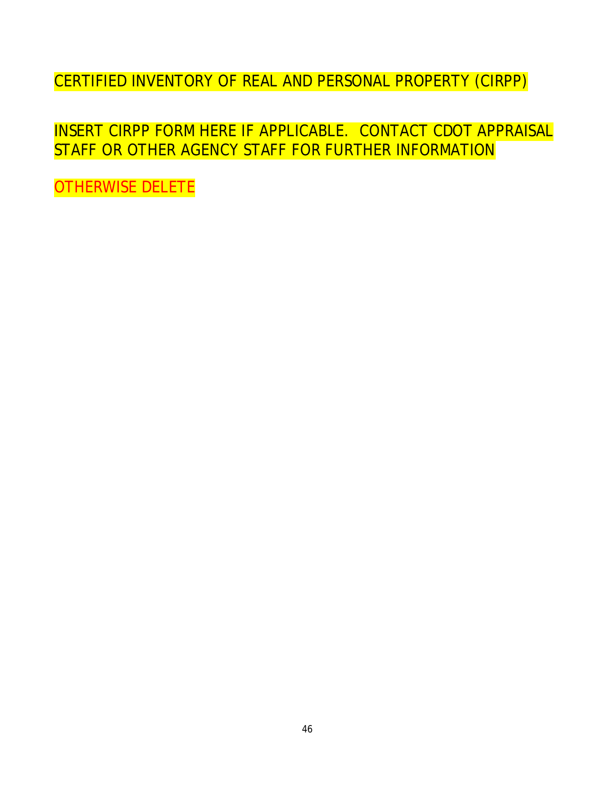CERTIFIED INVENTORY OF REAL AND PERSONAL PROPERTY (CIRPP)

INSERT CIRPP FORM HERE IF APPLICABLE. CONTACT CDOT APPRAISAL STAFF OR OTHER AGENCY STAFF FOR FURTHER INFORMATION

OTHERWISE DELETE